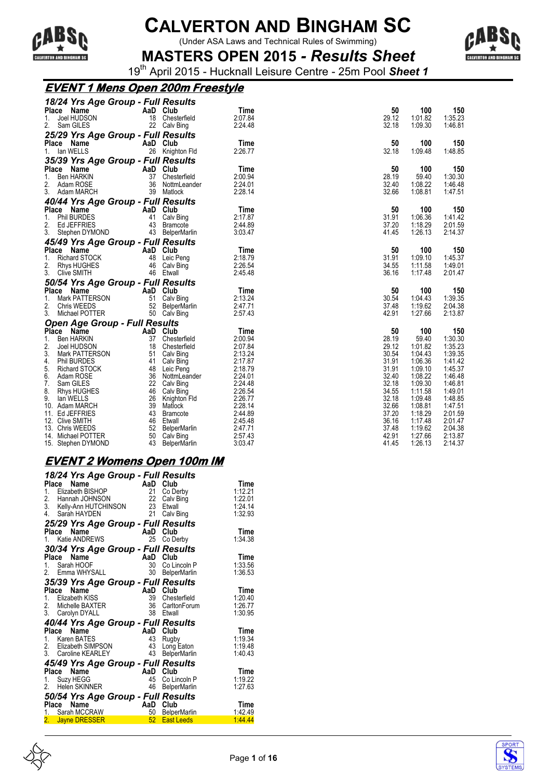

(Under ASA Laws and Technical Rules of Swimming)



**MASTERS OPEN 2015** *- Results Sheet* 19th April 2015 - Hucknall Leisure Centre - 25m Pool *Sheet 1*

### **EVENT 1 Mens Open 200m Freestyle**

| 18/24 Yrs Age Group - Full Results       |          |                                 |                    |                |                    |                    |
|------------------------------------------|----------|---------------------------------|--------------------|----------------|--------------------|--------------------|
| Place<br>Name                            |          | AaD Club                        | Time               | 50             | 100                | 150                |
| 1.<br>Joel HUDSON                        |          | 18 Chesterfield                 | 2:07.84            | 29.12          | 1:01.82            | 1:35.23            |
| 2.<br>Sam GILES                          |          | 22 Calv Bing                    | 2:24.48            | 32.18          | 1:09.30            | 1:46.81            |
| 25/29 Yrs Age Group - Full Results       |          |                                 |                    |                |                    |                    |
| Place Name                               |          | AaD Club                        | Time               | 50             | 100                | 150                |
| 1. Ian WELLS                             |          | 26 Knighton Fld                 | 2:26.77            | 32.18          | 1:09.48            | 1:48.85            |
| 35/39 Yrs Age Group - Full Results       |          |                                 |                    |                |                    |                    |
| Place Name                               |          | AaD Club                        | Time               | 50             | 100                | 150                |
| Ben HARKIN<br>1.                         |          | 37 Chesterfield                 | 2:00.94            | 28.19          | 59.40              | 1:30.30            |
| 2.<br>Adam ROSE                          |          | 36 NottmLeander                 | 2:24.01            | 32.40          | 1:08.22            | 1:46.48            |
| 3. Adam MARCH                            |          | 39 Matlock                      | 2:28.14            | 32.66          | 1:08.81            | 1:47.51            |
| 40/44 Yrs Age Group - Full Results       |          |                                 |                    |                |                    |                    |
| Place Name                               | AaD Club |                                 | Time               | 50             | 100                | 150                |
| 1. Phil BURDES                           |          | 41 Calv Bing                    | 2:17.87            | 31.91          | 1:06.36            | 1:41.42            |
| 2.<br>Ed JEFFRIES                        |          | 43 Bramcote                     | 2:44.89            | 37.20          | 1:18.29            | 2:01.59            |
| 3. Stephen DYMOND                        |          | 43 BelperMarlin                 | 3:03.47            | 41.45          | 1:26.13            | 2:14.37            |
| 45/49 Yrs Age Group - Full Results       |          |                                 |                    |                |                    |                    |
| Place Name                               |          | AaD Club                        | Time               | 50             | 100                | 150                |
| 1.<br>Richard STOCK                      |          | 48 Leic Peng                    | 2:18.79            | 31.91          | 1:09.10            | 1:45.37            |
| 2.<br>Rhys HUGHES                        |          | 46 Calv Bing                    | 2:26.54            | 34.55          | 1:11.58            | 1:49.01            |
| 3.<br><b>Clive SMITH</b>                 |          | 46 Etwall                       | 2:45.48            | 36.16          | 1:17.48            | 2:01.47            |
| 50/54 Yrs Age Group - Full Results       |          |                                 |                    |                |                    |                    |
| Place Name                               |          | AaD Club                        | Time               | 50             | 100                | 150                |
| 1.<br>Mark PATTERSON                     |          | 51 Calv Bing                    | 2:13.24            | 30.54          | 1:04.43            | 1:39.35            |
| 2.<br>Chris WEEDS                        |          | 52 BelperMarlin                 | 2:47.71            | 37.48          | 1:19.62            | 2:04.38            |
| 3.<br>Michael POTTER                     |          | 50 Calv Bing                    | 2:57.43            | 42.91          | 1:27.66            | 2:13.87            |
| <b>Open Age Group - Full Results</b>     |          |                                 |                    |                |                    |                    |
| Place Name                               |          | AaD Club                        | Time               | 50             | 100                | 150                |
| 1.<br>Ben HARKIN                         |          | 37 Chesterfield                 | 2:00.94            | 28.19          | 59.40              | 1:30.30            |
| 2.<br>Joel HUDSON                        |          | 18 Chesterfield                 | 2:07.84            | 29.12          | 1:01.82            | 1:35.23            |
| 3.<br>Mark PATTERSON                     |          | 51 Calv Bing                    | 2:13.24            | 30.54          | 1:04.43            | 1:39.35            |
| 4.<br>Phil BURDES                        |          | 41 Calv Bing                    | 2:17.87            | 31.91          | 1:06.36            | 1:41.42            |
| 5.<br>Richard STOCK                      |          | 48 Leic Peng                    | 2:18.79            | 31.91          | 1:09.10            | 1:45.37            |
| 6.<br>Adam ROSE                          |          | 36 NottmLeander                 | 2:24.01            | 32.40          | 1:08.22            | 1:46.48            |
| 7. Sam GILES                             |          | 22 Calv Bing                    | 2:24.48            | 32.18          | 1:09.30            | 1:46.81            |
| 8.<br>Rhys HUGHES                        |          | 46 Calv Bing                    | 2:26.54            | 34.55          | 1:11.58            | 1:49.01            |
| 9.<br>lan WELLS                          |          | 26 Knighton Fld                 | 2:26.77            | 32.18          | 1:09.48            | 1:48.85            |
| 10. Adam MARCH                           |          | 39 Matlock                      | 2:28.14            | 32.66          | 1:08.81            | 1:47.51            |
| 11. Ed JEFFRIES                          |          | 43 Bramcote<br>46 Etwall        | 2:44.89<br>2:45.48 | 37.20<br>36.16 | 1:18.29<br>1:17.48 | 2:01.59<br>2:01.47 |
| 12. Clive SMITH                          |          |                                 |                    |                |                    |                    |
|                                          |          |                                 |                    |                |                    |                    |
| 13. Chris WEEDS                          |          | 52 BelperMarlin                 | 2:47.71            | 37.48          | 1:19.62            | 2:04.38            |
| 14. Michael POTTER<br>15. Stephen DYMOND |          | 50 Calv Bing<br>43 BelperMarlin | 2:57.43<br>3:03.47 | 42.91<br>41.45 | 1:27.66<br>1:26.13 | 2:13.87<br>2:14.37 |

#### **EVENT 2 Womens Open 100m IM**

| 18/24 Yrs Age Group - Full Results<br>Place<br>Name<br>1. Elizabeth BISHOP<br>2.<br>Hannah JOHNSON<br>3. Kelly-Ann HUTCHINSON<br>Sarah HAYDEN<br>4. | AaD<br>21<br>22<br>23<br>21 | Club<br>Co Derby<br>Calv Bing<br>Etwall<br>Calv Bing | Time<br>1.12.21<br>1:22.01<br>1.24.14<br>1:32.93 |
|-----------------------------------------------------------------------------------------------------------------------------------------------------|-----------------------------|------------------------------------------------------|--------------------------------------------------|
| 25/29 Yrs Age Group - Full Results<br>Place<br>Name<br>Katie ANDREWS<br>1.                                                                          | AaD<br>25                   | Club<br>Co Derby                                     | Time<br>1:34.38                                  |
| 30/34 Yrs Age Group - Full Results<br>Place<br>Name<br>Sarah HOOF<br>1.<br>2.<br>Emma WHYSALL                                                       | AaD<br>30<br>30             | Club<br>Co Lincoln P<br><b>BelperMarlin</b>          | Time<br>1:33.56<br>1:36.53                       |
| 35/39 Yrs Age Group - Full Results<br>Place<br>Name<br>1. Elizabeth KISS<br>2. Michelle BAXTER<br>3. Carolyn DYALL                                  | AaD<br>39<br>36<br>38       | Club<br>Chesterfield<br>CarltonForum<br>Etwall       | Time<br>1:20.40<br>1:26.77<br>1:30.95            |
| 40/44 Yrs Age Group - Full Results<br>Name<br>Place<br>1. Karen BATES<br>2. Elizabeth SIMPSON<br>3. Caroline KEARLEY                                | AaD Club<br>43<br>43<br>43  | Rugby<br>Long Eaton<br>BelperMarlin                  | Time<br>1:19.34<br>1:19.48<br>1:40.43            |
| 45/49 Yrs Age Group - Full Results<br>Place<br>Name<br>Suzy HEGG<br>1.<br>Helen SKINNER<br>2.                                                       | AaD<br>45<br>46             | Club<br>Co Lincoln P<br>BelperMarlin                 | Time<br>1:19.22<br>1:27.63                       |
| 50/54 Yrs Age Group - Full Results<br>Place<br>Name<br>1. Sarah MCCRAW<br><b>Jayne DRESSER</b><br>2.                                                | AaD Club<br>50<br>52        | <b>BelperMarlin</b><br><b>East Leeds</b>             | Time<br>1:42.49<br>1:44.44                       |



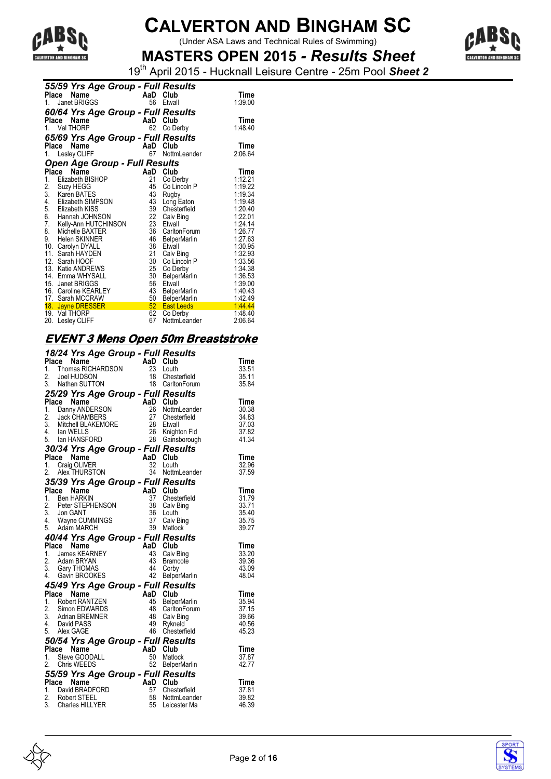

 $\frac{1}{2}$   $\frac{1}{2}$   $\frac{1}{2}$   $\frac{1}{2}$   $\frac{1}{2}$   $\frac{1}{2}$   $\frac{1}{2}$   $\frac{1}{2}$   $\frac{1}{2}$   $\frac{1}{2}$   $\frac{1}{2}$   $\frac{1}{2}$   $\frac{1}{2}$   $\frac{1}{2}$   $\frac{1}{2}$   $\frac{1}{2}$   $\frac{1}{2}$   $\frac{1}{2}$   $\frac{1}{2}$   $\frac{1}{2}$   $\frac{1}{2}$   $\frac{1}{2}$ 



**MASTERS OPEN 2015** *- Results Sheet* 19th April 2015 - Hucknall Leisure Centre - 25m Pool *Sheet 2*

|                 | 55/59 Yrs Age Group - Full Results |     |                     |         |
|-----------------|------------------------------------|-----|---------------------|---------|
|                 | Name<br>Place                      |     | AaD Club            | Time    |
| 1.              | <b>Janet BRIGGS</b>                | 56  | Etwall              | 1:39.00 |
|                 | 60/64 Yrs Age Group - Full Results |     |                     |         |
|                 | Name<br>Place                      | AaD | Club                | Time    |
|                 | 1. Val THORP                       | 62  | Co Derby            | 1:48.40 |
|                 | 65/69 Yrs Age Group - Full Results |     |                     |         |
|                 | Name<br>Place                      | AaD | Club                | Time    |
|                 | 1. Lesley CLIFF                    | 67  | NottmLeander        | 2:06.64 |
|                 | Open Age Group - Full Results      |     |                     |         |
| Place           | Name                               | AaD | Club                | Time    |
| 1.              | Elizabeth BISHOP                   | 21  | Co Derby            | 1:12.21 |
| $\frac{2}{3}$ . | Suzy HEGG                          | 45  | Co Lincoln P        | 1:19.22 |
|                 | Karen BATES                        | 43  | Rugby               | 1:19.34 |
| 4.              | Elizabeth SIMPSON                  | 43  | Long Eaton          | 1:19.48 |
| 5.              | Elizabeth KISS                     | 39  | Chesterfield        | 1:20.40 |
| 6.              | Hannah JOHNSON                     | 22  | Calv Bing           | 1:22.01 |
| 7.              | Kelly-Ann HUTCHINSON               | 23  | Etwall              | 1.24.14 |
| 8.              | Michelle BAXTER                    | 36  | CarltonForum        | 1:26.77 |
| 9.              | <b>Helen SKINNER</b>               | 46  | <b>BelperMarlin</b> | 1:27.63 |
|                 | 10. Carolyn DYALL                  | 38  | Etwall              | 1:30.95 |
| 11.             | Sarah HAYDEN                       | 21  | Calv Bing           | 1:32.93 |
|                 | 12. Sarah HOOF                     | 30  | Co Lincoln P        | 1:33.56 |
|                 | 13. Katie ANDREWS                  | 25  | Co Derby            | 1:34.38 |
|                 | 14. Emma WHYSALL                   | 30  | <b>BelperMarlin</b> | 1:36.53 |
|                 | 15. Janet BRIGGS                   | 56  | Etwall              | 1:39.00 |
|                 | 16. Caroline KEARLEY               | 43  | <b>BelperMarlin</b> | 1:40.43 |
|                 | 17. Sarah MCCRAW                   | 50  | <b>BelperMarlin</b> | 1:42.49 |
|                 | 18. Jayne DRESSER                  | 52  | <b>East Leeds</b>   | 1:44.44 |
| 19.             | Val THORP                          | 62  | Co Derby            | 1:48.40 |
| 20.             | Lesley CLIFF                       | 67  | NottmLeander        | 2:06.64 |

### **EVENT 3 Mens Open 50m Breaststroke**

|       | 18/24 Yrs Age Group - Full Results<br>Place Name <b>AaD Club</b><br>1. Thomas RICHARDSON 23 Louth |                |                                    | Time           |
|-------|---------------------------------------------------------------------------------------------------|----------------|------------------------------------|----------------|
|       |                                                                                                   |                |                                    | 33.51          |
|       | 2. Joel HUDSON<br>2. Joel HUDSON<br>3. Nathan SUTTON 18 CarltonForum                              |                |                                    | 35.11          |
|       |                                                                                                   |                |                                    | 35.84          |
|       | 25/29 Yrs Age Group - Full Results                                                                |                |                                    |                |
|       | Place Name                                                                                        | AaD Club       |                                    | <b>Time</b>    |
|       | 1. Danny ANDERSON                                                                                 |                | 26 NottmLeander                    | 30.38          |
|       | 2. Jack CHAMBERS<br>3. Mitchell BLAKEMORE<br>4. Jan MELLS                                         |                | 27 Chesterfield                    | 34.83          |
|       |                                                                                                   |                | 28 Etwall                          | 37.03          |
|       | 4. Ian WELLS                                                                                      |                | 26 Knighton Fld                    | 37.82          |
|       | 5. Ian HANSFORD                                                                                   |                | 28 Gainsborough                    | 41.34          |
|       | 30/34 Yrs Age Group - Full Results                                                                |                |                                    |                |
|       | $AaD$ Club<br>Place Name                                                                          |                |                                    | Time           |
|       |                                                                                                   |                | 32 Louth                           | 32.96          |
|       | 1. Craig OLIVER<br>2. Alex THURSTON                                                               |                | 34 NottmLeander                    | 37.59          |
|       | 35/39 Yrs Age Group - Full Results                                                                |                |                                    |                |
|       | Place Name                                                                                        | AaD Club       |                                    | <b>Time</b>    |
|       | 1. Ben HARKIN                                                                                     |                | 37 Chesterfield                    | 31.79          |
|       | 2. Peter STEPHENSON                                                                               |                | 38 Calv Bing                       | 33.71          |
|       | 3. Jon GANT<br>4. Wayne CUMMINGS<br>5. Adom MADCH                                                 |                | 36 Louth                           | 35.40          |
|       |                                                                                                   |                | 37 Calv Bing                       | 35.75          |
|       | 5. Adam MARCH                                                                                     |                | 39 Matlock                         | 39.27          |
|       |                                                                                                   |                |                                    |                |
|       |                                                                                                   |                |                                    |                |
|       | 40/44 Yrs Age Group - Full Results                                                                |                |                                    |                |
|       | Place Name                                                                                        | AaD Club       |                                    | <b>Time</b>    |
|       |                                                                                                   |                | 43 Calv Bing                       | 33.20<br>39.36 |
|       | <b>Place Name<br/>1. James KEARNEY<br/>2. Adam BRYAN<br/>3. Gary THOMAS</b>                       |                | 43 Bramcote                        | 43.09          |
|       |                                                                                                   |                | 44 Corby                           | 48.04          |
|       | 3. Gary THOMAS<br>4. Gavin BROOKES                                                                |                | 42 BelperMarlin                    |                |
|       | 45/49 Yrs Age Group - Full Results                                                                |                |                                    | Time           |
|       |                                                                                                   |                |                                    | 35.94          |
|       |                                                                                                   |                | 45 BelperMarlin<br>48 CarltonForum | 37.15          |
|       | <b>Place Name</b><br>1. Robert RANTZEN<br>2. Simon EDWARDS<br>2. Simon EDWARDS<br>48 Carlto       |                |                                    | 39.66          |
|       |                                                                                                   |                | 48 Calv Bing                       | 40.56          |
|       | 2. Simon EDWARDS<br>3. Adrian BREMNER<br>4. David PASS<br>4. David PASS<br>5. Alex GAGE           |                | 49 Rykneld<br>46 Chesterfield      | 45.23          |
|       |                                                                                                   |                |                                    |                |
|       | 50/54 Yrs Age Group - Full Results<br>Name                                                        |                |                                    |                |
| Place | 1. Steve GOODALL                                                                                  |                | 50 Matlock                         | Time<br>37.87  |
|       |                                                                                                   |                |                                    | 42.77          |
|       | $AaD \t Club50 Matloc52 Bole$<br>2. Chris WEEDS                                                   |                | 52 BelperMarlin                    |                |
|       | 55/59 Yrs Age Group - Full Results                                                                |                |                                    |                |
| Place | Name                                                                                              | AaD Club<br>57 |                                    | <b>Time</b>    |
|       | 1. David BRADFORD                                                                                 |                | Chesterfield                       | 37.81<br>39.82 |
|       | 2. Robert STEEL<br>3. Charles HILLYER                                                             |                | 58 NottmLeander<br>55 Leicester Ma | 46.39          |



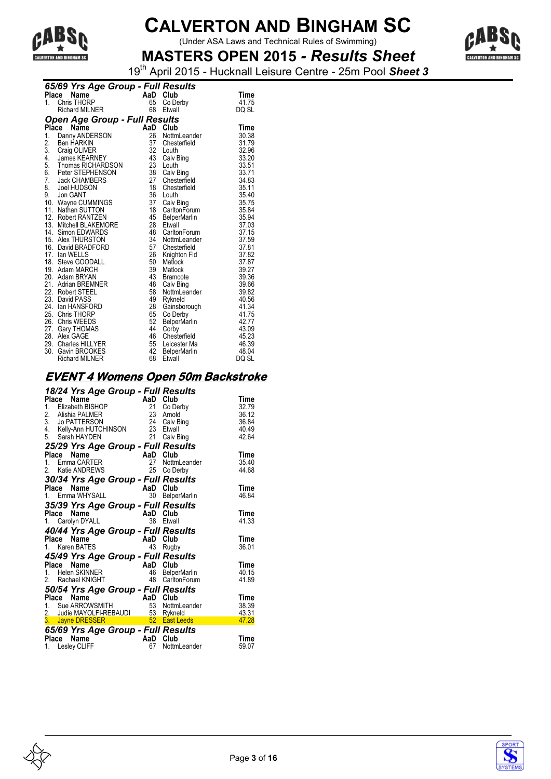

(Under ASA Laws and Technical Rules of Swimming)



**MASTERS OPEN 2015** *- Results Sheet* 19th April 2015 - Hucknall Leisure Centre - 25m Pool *Sheet 3*

|          | 65/69 Yrs Age Group - Full Results                                                                                                                          |                                               |                     |       |  |  |  |  |
|----------|-------------------------------------------------------------------------------------------------------------------------------------------------------------|-----------------------------------------------|---------------------|-------|--|--|--|--|
|          | Place<br><b>Ce Name Capital Chapter Capital Chapter Capital Chapter Capital Chapter Capital Chapter Capital Chapter Capital</b><br>Richard MILNER 68 Etwall |                                               |                     | Time  |  |  |  |  |
| 1.       |                                                                                                                                                             |                                               | Co Derby            | 41.75 |  |  |  |  |
|          |                                                                                                                                                             |                                               | Etwall              | DQ SL |  |  |  |  |
|          | Open Age Group - Full Results                                                                                                                               |                                               |                     |       |  |  |  |  |
|          | Place<br>Name                                                                                                                                               |                                               | AaD Club            | Time  |  |  |  |  |
| 1.       | Danny ANDERSON                                                                                                                                              | 26                                            | NottmLeander        | 30.38 |  |  |  |  |
|          |                                                                                                                                                             | 37                                            | Chesterfield        | 31.79 |  |  |  |  |
|          |                                                                                                                                                             | 32                                            | Louth               | 32.96 |  |  |  |  |
|          | 2. Ben HANN<br>3. Craig OLIVER<br>4. James KEARNEY<br>Tiomas RICHARDSON                                                                                     | 43                                            | Calv Bing           | 33.20 |  |  |  |  |
|          |                                                                                                                                                             |                                               | Louth               | 33.51 |  |  |  |  |
| 6.<br>7. | Peter STEPHENSON                                                                                                                                            | $\begin{array}{c} 23 \\ 38 \\ 27 \end{array}$ | Calv Bing           | 33.71 |  |  |  |  |
|          | <b>Jack CHAMBERS</b>                                                                                                                                        |                                               | Chesterfield        | 34.83 |  |  |  |  |
|          | 8. Joel HUDSON                                                                                                                                              | 18                                            | Chesterfield        | 35.11 |  |  |  |  |
|          | 9. Jon GANT                                                                                                                                                 | 36                                            | Louth               | 35.40 |  |  |  |  |
|          | 10. Wayne CUMMINGS                                                                                                                                          | 37                                            | Calv Bing           | 35.75 |  |  |  |  |
|          | 11. Nathan SUTTON                                                                                                                                           | 18                                            | CarltonForum        | 35.84 |  |  |  |  |
|          | 12. Robert RANTZEN                                                                                                                                          | 45                                            | <b>BelperMarlin</b> | 35.94 |  |  |  |  |
|          | 13. Mitchell BLAKEMORE                                                                                                                                      | 28                                            | Etwall              | 37.03 |  |  |  |  |
|          | 14. Simon EDWARDS                                                                                                                                           | 48                                            | CarltonForum        | 37.15 |  |  |  |  |
|          | 15. Alex THURSTON                                                                                                                                           | 34                                            | NottmLeander        | 37.59 |  |  |  |  |
|          | 16. David BRADFORD                                                                                                                                          | 57                                            | Chesterfield        | 37.81 |  |  |  |  |
|          | 17. Ian WELLS                                                                                                                                               | 26                                            | Knighton Fld        | 37.82 |  |  |  |  |
|          | 18. Steve GOODALL                                                                                                                                           | 50                                            | Matlock             | 37.87 |  |  |  |  |
|          | 19. Adam MARCH                                                                                                                                              | 39                                            | Matlock             | 39.27 |  |  |  |  |
|          | 20. Adam BRYAN                                                                                                                                              | 43                                            | <b>Bramcote</b>     | 39.36 |  |  |  |  |
|          | 21. Adrian BREMNER                                                                                                                                          | 48                                            | Calv Bing           | 39.66 |  |  |  |  |
|          | 22. Robert STEEL                                                                                                                                            | 58                                            | NottmLeander        | 39.82 |  |  |  |  |
|          | 23. David PASS                                                                                                                                              | 49                                            | Rykneld             | 40.56 |  |  |  |  |
|          | 24. Ian HANSFORD                                                                                                                                            | 28                                            | Gainsborough        | 41.34 |  |  |  |  |
|          | 25. Chris THORP                                                                                                                                             | 65                                            | Co Derby            | 41.75 |  |  |  |  |
|          | 26. Chris WEEDS                                                                                                                                             | 52                                            | <b>BelperMarlin</b> | 42.77 |  |  |  |  |
|          | 27. Gary THOMAS                                                                                                                                             | 44                                            | Corby               | 43.09 |  |  |  |  |
|          | 28. Alex GAGE                                                                                                                                               | 46                                            | Chesterfield        | 45.23 |  |  |  |  |
|          | 29. Charles HILLYER                                                                                                                                         | 55                                            | Leicester Ma        | 46.39 |  |  |  |  |
|          | 30. Gavin BROOKES                                                                                                                                           | 42                                            | <b>BelperMarlin</b> | 48.04 |  |  |  |  |
|          | <b>Richard MILNER</b>                                                                                                                                       | 68                                            | Etwall              | DQ SL |  |  |  |  |

#### **EVENT 4 Womens Open 50m Backstroke**

| 18/24 Yrs Age Group - Full Results<br><b>18/24 Yrs Aye - Algebra 18/24 Yrs Aye - Algebra 21<br/>1. Elizabeth BISHOP - 21<br/>1. Alishia PALMER - 23<br/>24 23</b><br>4. Kelly-Ann HUTCHINSON 23<br>5. Sarah HAYDEN 21 | AaD Club  | Co Derby<br>Arnold<br>Calv Bing<br>Etwall<br>Calv Bing | Time<br>32.79<br>36.12<br>36.84<br>40.49<br>42.64 |
|-----------------------------------------------------------------------------------------------------------------------------------------------------------------------------------------------------------------------|-----------|--------------------------------------------------------|---------------------------------------------------|
| 25/29 Yrs Age Group - Full Results                                                                                                                                                                                    |           |                                                        |                                                   |
|                                                                                                                                                                                                                       |           | NottmLeander<br>Co Derby                               | Time<br>35.40<br>44.68                            |
| 30/34 Yrs Age Group - Full Results<br>Place                                                                                                                                                                           |           | Club                                                   | Time                                              |
| $\begin{array}{cc}\n & \dots & \dots \\  \text{Emma WHYSALL} & & \text{AaD} \\  \text{72. } \text{Y} & & \dots & & \dots \\  \text{73. } \text{Y} & & & \dots & & \dots\n \end{array}$                                |           | <b>BelperMarlin</b>                                    | 46.84                                             |
|                                                                                                                                                                                                                       |           |                                                        |                                                   |
| 35/39 Yrs Age Group - Full Results<br>Place<br>Name                                                                                                                                                                   | AaD       | Club                                                   | Time                                              |
| Letter i 1990.<br>Letter i 1990 i 1990 i 1990 i 1990 i 1990 i 1990 i 1990 i 1990 i 1990 i 1990 i 1990 i 1990 i 1990 i 1990 i 19<br>Carolyn DYALL<br>1.                                                                | 38        | Etwall                                                 | 41.33                                             |
| 40/44 Yrs Age Group - Full Results                                                                                                                                                                                    |           |                                                        |                                                   |
| $\frac{1}{2}$ Nature $\frac{1}{2}$ AaD                                                                                                                                                                                |           | Club                                                   | Time                                              |
|                                                                                                                                                                                                                       |           | Rugby                                                  | 36.01                                             |
| 45/49 Yrs Age Group - Full Results                                                                                                                                                                                    |           |                                                        |                                                   |
| <b>Place Name</b><br>1. Helen SKINNER                                                                                                                                                                                 | AaD       | Club                                                   | Time                                              |
|                                                                                                                                                                                                                       | 46        | <b>BelperMarlin</b>                                    | 40.15                                             |
| 2. Rachael KNIGHT                                                                                                                                                                                                     | 48        | CarltonForum                                           | 41.89                                             |
| 50/54 Yrs Age Group - Full Results                                                                                                                                                                                    |           |                                                        |                                                   |
|                                                                                                                                                                                                                       |           |                                                        | Time                                              |
|                                                                                                                                                                                                                       |           |                                                        | 38.39<br>43.31                                    |
| Place Name<br>1. Sue ARROWSMITH<br>2. Judie MAYOLFI-REBAUDI<br>3. Jayne DRESSER<br>52 East Leeds<br>65/60 You A and C                                                                                                 |           |                                                        | 47.28                                             |
| 65/69 Yrs Age Group - Full Results                                                                                                                                                                                    |           |                                                        |                                                   |
| Place Name<br>1. Lesley CLIFF                                                                                                                                                                                         | AaD<br>67 | Club<br>NottmLeander                                   | Time<br>59.07                                     |



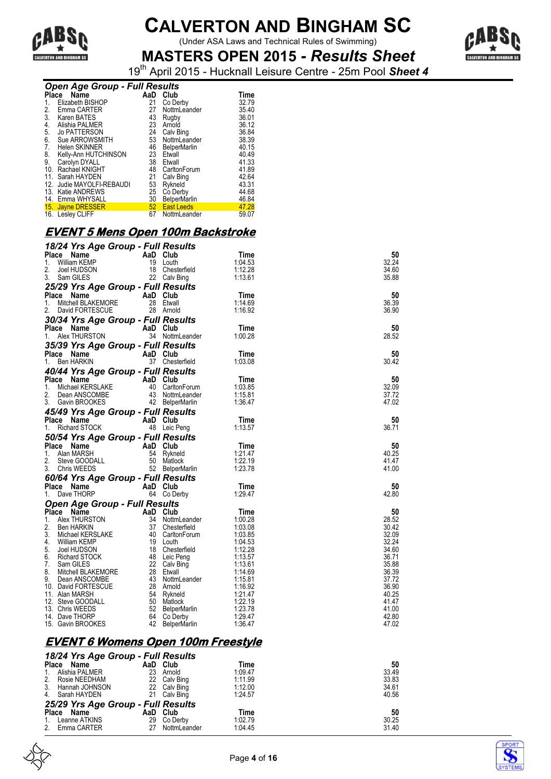

(Under ASA Laws and Technical Rules of Swimming)



**MASTERS OPEN 2015** *- Results Sheet* 19th April 2015 - Hucknall Leisure Centre - 25m Pool *Sheet 4*

| <b>Open Age Group - Full Results</b> |                                                                                                                                                                                                                                                                                                                                                                                      |  |                 |                      |  |  |
|--------------------------------------|--------------------------------------------------------------------------------------------------------------------------------------------------------------------------------------------------------------------------------------------------------------------------------------------------------------------------------------------------------------------------------------|--|-----------------|----------------------|--|--|
|                                      | Place Name                                                                                                                                                                                                                                                                                                                                                                           |  | AaD Club        | Time                 |  |  |
|                                      | 1. Elizabeth BISHOP                                                                                                                                                                                                                                                                                                                                                                  |  | 21 Co Derby     | 32.79                |  |  |
|                                      | 2. Emma CARTER                                                                                                                                                                                                                                                                                                                                                                       |  | 27 NottmLeander | 35.40                |  |  |
|                                      | 3. Karen BATES                                                                                                                                                                                                                                                                                                                                                                       |  | 43 Rugby        | 36.01                |  |  |
|                                      | 4. Alishia PALMER                                                                                                                                                                                                                                                                                                                                                                    |  | 23 Arnold       | 36.12                |  |  |
|                                      | $\overline{a}$ $\overline{b}$ $\overline{a}$ $\overline{b}$ $\overline{c}$ $\overline{c}$ $\overline{c}$ $\overline{c}$ $\overline{c}$ $\overline{c}$ $\overline{c}$ $\overline{c}$ $\overline{c}$ $\overline{c}$ $\overline{c}$ $\overline{c}$ $\overline{c}$ $\overline{c}$ $\overline{c}$ $\overline{c}$ $\overline{c}$ $\overline{c}$ $\overline{c}$ $\overline{c}$ $\overline{$ |  | .               | $\sim$ $\sim$ $\sim$ |  |  |

| Place | - - <b>r</b><br>Name      | AaD | Club                | Time  |
|-------|---------------------------|-----|---------------------|-------|
| 1.    | Elizabeth BISHOP          | 21  | Co Derby            | 32.79 |
| 2.    | Emma CARTER               | 27  | NottmLeander        | 35.40 |
| 3.    | Karen BATES               | 43  | Rugby               | 36.01 |
| 4.    | Alishia PALMER            | 23  | Arnold              | 36.12 |
| 5.    | <b>Jo PATTERSON</b>       | 24  | Calv Bing           | 36.84 |
| 6.    | Sue ARROWSMITH            | 53  | NottmLeander        | 38.39 |
| 7.    | Helen SKINNER             | 46  | <b>BelperMarlin</b> | 40.15 |
| 8.    | Kelly-Ann HUTCHINSON      | 23  | Etwall              | 40.49 |
| 9.    | Carolyn DYALL             | 38  | Etwall              | 41.33 |
| 10.   | Rachael KNIGHT            | 48  | CarltonForum        | 41.89 |
|       | 11. Sarah HAYDEN          | 21  | Calv Bing           | 42.64 |
|       | 12. Judie MAYOLFI-REBAUDI | 53  | Rykneld             | 43.31 |
|       | 13. Katie ANDREWS         | 25  | Co Derby            | 44.68 |
|       | 14. Emma WHYSALL          | 30  | <b>BelperMarlin</b> | 46.84 |
|       | 15. Jayne DRESSER         |     | 52 East Leeds       | 47.28 |
|       | 16. Lesley CLIFF          | 67  | NottmLeander        | 59.07 |

#### **EVENT 5 Mens Open 100m Backstroke**

|            | 18/24 Yrs Age Group - Full Results                                                                                                                                                                                                                               |          |                 |                    |                |
|------------|------------------------------------------------------------------------------------------------------------------------------------------------------------------------------------------------------------------------------------------------------------------|----------|-----------------|--------------------|----------------|
| Place      | AaD Club<br>19 Louth<br>Name                                                                                                                                                                                                                                     |          |                 | Time               | 50             |
| 1.         | William KEMP                                                                                                                                                                                                                                                     |          |                 | 1:04.53            | 32.24          |
| 2.         | Joel HUDSON                                                                                                                                                                                                                                                      |          | 18 Chesterfield | 1:12.28            | 34.60          |
| 3.         | Sam GILES                                                                                                                                                                                                                                                        |          | 22 Calv Bing    | 1:13.61            | 35.88          |
|            | 3. Sam Sitted Street of <b>Full Results</b><br>Place Name AaD Club<br>Place Name AaD Club                                                                                                                                                                        |          |                 |                    |                |
|            |                                                                                                                                                                                                                                                                  |          |                 | Time               | 50             |
|            |                                                                                                                                                                                                                                                                  |          |                 | 1:14.69            | 36.39          |
| 2.         | David FORTESCUE                                                                                                                                                                                                                                                  |          | 28 Arnold       | 1:16.92            | 36.90          |
|            | 2. David i Stringson<br>30/34 Yrs Age Group - Full Results                                                                                                                                                                                                       |          |                 |                    |                |
|            |                                                                                                                                                                                                                                                                  |          |                 | Time               | 50             |
| 1.         | Alex THURSTON                                                                                                                                                                                                                                                    |          | 34 NottmLeander | 1:00.28            | 28.52          |
|            | 35/39 Yrs Age Group - Full Results                                                                                                                                                                                                                               |          |                 |                    |                |
|            | Place Name                                                                                                                                                                                                                                                       | AaD Club |                 | Time               | 50             |
| 1.         | <b>Ben HARKIN</b>                                                                                                                                                                                                                                                |          | 37 Chesterfield | 1:03.08            | 30.42          |
|            | 40/44 Yrs Age Group - Full Results                                                                                                                                                                                                                               |          |                 |                    |                |
| Place Name |                                                                                                                                                                                                                                                                  |          |                 | Time               | 50             |
| 1.         | <b>Ce Name AaD Club</b><br>Michael KERSLAKE 40 CarltonForum<br>Dean ANSCOMBE 43 NottmLeander                                                                                                                                                                     |          |                 | 1:03.85            | 32.09          |
| 2.         | Dean ANSCOMBE                                                                                                                                                                                                                                                    |          | 43 NottmLeander | 1:15.81            | 37.72          |
| 3.         | Gavin BROOKES                                                                                                                                                                                                                                                    |          | 43 Notami Surre | 1:36.47            | 47.02          |
|            | 45/49 Yrs Age Group - Full Results                                                                                                                                                                                                                               |          |                 |                    |                |
| Place Name | K                                                                                                                                                                                                                                                                | AaD Club |                 | Time               | 50             |
| 1.         | Richard STOCK                                                                                                                                                                                                                                                    |          | 48 Leic Peng    | 1:13.57            | 36.71          |
|            |                                                                                                                                                                                                                                                                  |          |                 |                    |                |
|            |                                                                                                                                                                                                                                                                  |          |                 |                    |                |
|            | 50/54 Yrs Age Group - Full Results                                                                                                                                                                                                                               |          |                 | Time               | 50             |
|            |                                                                                                                                                                                                                                                                  |          |                 | 1:21.47            | 40.25          |
|            |                                                                                                                                                                                                                                                                  |          |                 | 1:22.19            | 41.47          |
|            | <b>Place Name AaD Club</b><br>1. Alan MARSH 54 Rykneld<br>2. Steve GOODALL 50 Matlock<br>3. Chris WEEDS 52 BelperM                                                                                                                                               |          |                 | 1:23.78            | 41.00          |
|            |                                                                                                                                                                                                                                                                  |          |                 |                    |                |
|            |                                                                                                                                                                                                                                                                  |          |                 | Time               | 50             |
|            |                                                                                                                                                                                                                                                                  |          |                 | 1:29.47            | 42.80          |
|            | 2. Steve GOODALL<br>3. Chris WEEDS 52 Belly Comments<br>60/64 Yrs Age Group - Full Results<br>Place Name AaD Club<br>64 Co Derby                                                                                                                                 |          |                 |                    |                |
|            | Open Age Group - Full Results                                                                                                                                                                                                                                    |          |                 | Time               | 50             |
|            |                                                                                                                                                                                                                                                                  |          |                 | 1:00.28            | 28.52          |
|            |                                                                                                                                                                                                                                                                  |          |                 | 1:03.08            | 30.42          |
|            |                                                                                                                                                                                                                                                                  |          |                 | 1:03.85            | 32.09          |
|            |                                                                                                                                                                                                                                                                  |          |                 | 1:04.53            | 32.24          |
|            |                                                                                                                                                                                                                                                                  |          |                 | 1:12.28            | 34.60          |
|            |                                                                                                                                                                                                                                                                  |          |                 | 1:13.57            | 36.71          |
|            |                                                                                                                                                                                                                                                                  |          |                 | 1:13.61<br>1.14.69 | 35.88<br>36.39 |
|            |                                                                                                                                                                                                                                                                  |          |                 | 1:15.81            | 37.72          |
|            |                                                                                                                                                                                                                                                                  |          |                 | 1:16.92            | 36.90          |
|            |                                                                                                                                                                                                                                                                  |          |                 | 1:21.47            | 40.25          |
|            |                                                                                                                                                                                                                                                                  |          |                 | 1:22.19            | 41.47          |
|            |                                                                                                                                                                                                                                                                  |          |                 | 1:23.78            | 41.00          |
|            | <b>Open Age Group - Full Results<br/> Place Name AaD Club<br/> 1. Alex THURSTON 34 NottmLeander<br/> 2. Ben HARKIN 37 Chesterfield<br/> 3. Michael KERSLAKE 40 Gartton Forum<br/> 4. William KEMP 40 Gartton Forum<br/> 5. Joel HUDSON 18 Chesterfield<br/> </b> |          |                 | 1:29.47<br>1:36.47 | 42.80<br>47.02 |

#### **EVENT 6 Womens Open 100m Freestyle**

| 18/24 Yrs Age Group - Full Results |    |              |         |       |
|------------------------------------|----|--------------|---------|-------|
| Place Name                         |    | AaD Club     | Time    | 50    |
| Alishia PALMER<br>$\mathbf{1}$ .   | 23 | Arnold       | 1:09.47 | 33.49 |
| 2.<br>Rosie NEEDHAM                |    | 22 Calv Bing | 1:11.99 | 33.83 |
| 3. Hannah JOHNSON                  |    | 22 Calv Bing | 1:12.00 | 34.61 |
| 4. Sarah HAYDEN                    |    | 21 Calv Bing | 1:24.57 | 40.56 |
| 25/29 Yrs Age Group - Full Results |    |              |         |       |
| Place Name                         |    | AaD Club     | Time    | 50    |
| 1. Leanne ATKINS                   | 29 | Co Derby     | 1:02.79 | 30.25 |
| 2. Emma CARTER                     | 27 | NottmLeander | 1:04.45 | 31.40 |



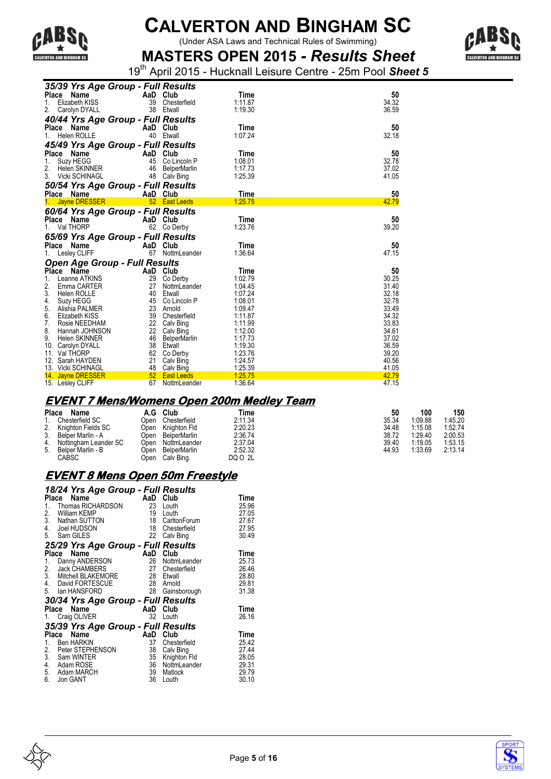

(Under ASA Laws and Technical Rules of Swimming)



**MASTERS OPEN 2015** *- Results Sheet* 19th April 2015 - Hucknall Leisure Centre - 25m Pool *Sheet 5*

| 35/39 Yrs Age Group - Full Results   |                    |         |       |
|--------------------------------------|--------------------|---------|-------|
| <b>Place</b><br>Name                 | AaD Club           | Time    | 50    |
| Elizabeth KISS<br>1.                 | 39 Chesterfield    | 1:11.87 | 34.32 |
| 2.<br>Carolyn DYALL                  | 38 Etwall          | 1:19.30 | 36.59 |
| 40/44 Yrs Age Group - Full Results   |                    |         |       |
| Place Name                           | AaD Club           | Time    | 50    |
| <b>Helen ROLLE</b><br>1.             | 40 Etwall          | 1:07.24 | 32.18 |
|                                      |                    |         |       |
| 45/49 Yrs Age Group - Full Results   |                    |         |       |
| Place<br>Name                        | AaD<br>Club        | Time    | 50    |
| Suzy HEGG<br>1.                      | 45 Co Lincoln P    | 1:08.01 | 32.78 |
| 2.<br>Helen SKINNER                  | 46 BelperMarlin    | 1:17.73 | 37.02 |
| 3. Vicki SCHINAGL                    | 48 Calv Bing       | 1:25.39 | 41.05 |
| 50/54 Yrs Age Group - Full Results   |                    |         |       |
| Place Name                           | AaD Club           | Time    | 50    |
| 1. Jayne DRESSER                     | 52 East Leeds      | 1:25.75 | 42.79 |
|                                      |                    |         |       |
| 60/64 Yrs Age Group - Full Results   |                    |         |       |
| Place Name                           | AaD Club           | Time    | 50    |
| Val THORP<br>1.                      | 62<br>Co Derby     | 1:23.76 | 39.20 |
| 65/69 Yrs Age Group - Full Results   |                    |         |       |
| Place Name                           | AaD Club           | Time    | 50    |
|                                      |                    |         |       |
| 1.                                   | 67<br>NottmLeander | 1:36.64 | 47.15 |
| Lesley CLIFF                         |                    |         |       |
| <b>Open Age Group - Full Results</b> |                    |         |       |
| Place Name                           | AaD Club           | Time    | 50    |
| 1.<br>Leanne ATKINS                  | 29<br>Co Derby     | 1:02.79 | 30.25 |
| 2.<br>Emma CARTER                    | 27<br>NottmLeander | 1:04.45 | 31.40 |
| 3.<br>Helen ROLLE                    | 40<br>Etwall       | 1:07.24 | 32.18 |
| 4.<br>Suzy HEGG                      | 45 Co Lincoln P    | 1:08.01 | 32.78 |
| 5.<br>Alishia PALMER                 | 23 Arnold          | 1:09.47 | 33.49 |
| 6.<br>Elizabeth KISS                 | 39 Chesterfield    | 1:11.87 | 34.32 |
| 7.<br>Rosie NEEDHAM                  | 22 Calv Bing       | 1:11.99 | 33.83 |
| 8.<br>Hannah JOHNSON                 | 22 Calv Bing       | 1:12.00 | 34.61 |
| <b>Helen SKINNER</b><br>9.           | 46 BelperMarlin    | 1:17.73 | 37.02 |
| 10. Carolyn DYALL                    | 38 Etwall          | 1:19.30 | 36.59 |
| 11. Val THORP                        | 62 Co Derby        | 1:23.76 | 39.20 |
| 12. Sarah HAYDEN                     | 21<br>Calv Bing    | 1:24.57 | 40.56 |
| 13. Vicki SCHINAGL                   | 48<br>Calv Bing    | 1:25.39 | 41.05 |
| 14. Jayne DRESSER                    | 52 East Leeds      | 1:25.75 | 42.79 |

#### **EVENT 7 Mens/Womens Open 200m Medley Team**

| <b>Place</b> | Name                  | A.G   | Club         | Time    | 50    | 100     | 150     |
|--------------|-----------------------|-------|--------------|---------|-------|---------|---------|
| 1.           | Chesterfield SC       | Open  | Chesterfield | 2:11.34 | 35.34 | 1:09.88 | 1:45.20 |
|              | 2. Knighton Fields SC | Open  | Knighton Fld | 2:20.23 | 34.48 | 1:15.08 | 1:52.74 |
|              | 3. Belper Marlin - A  | Open  | BelperMarlin | 2:36.74 | 38.72 | 1:29.40 | 2:00.53 |
| 4.           | Nottingham Leander SC | Jpen  | NottmLeander | 2:37.04 | 39.40 | 1:19.05 | 1:53.15 |
| 5.           | Belper Marlin - B     | Doen  | BelperMarlin | 2:52.32 | 44.93 | 1:33.69 | 2:13.14 |
|              | CABSC                 | 'Jpen | Calv Bing    | DQ 0 2L |       |         |         |

#### **EVENT 8 Mens Open 50m Freestyle**

|              | 18/24 Yrs Age Group - Full Results |     |              |       |
|--------------|------------------------------------|-----|--------------|-------|
|              | Name<br>Place                      | AaD | Club         | Time  |
| 1.           | Thomas RICHARDSON                  | 23  | Louth        | 25.96 |
| 2.           | William KEMP                       | 19  | Louth        | 27.05 |
|              | 3. Nathan SUTTON                   | 18  | CarltonForum | 27.67 |
| 4.           | Joel HUDSON                        | 18  | Chesterfield | 27.95 |
|              | 5. Sam GILES                       | 22  | Calv Bing    | 30.49 |
|              | 25/29 Yrs Age Group - Full Results |     |              |       |
| <b>Place</b> | Name                               | AaD | Club         | Time  |
| 1.           | Danny ANDERSON                     | 26  | NottmLeander | 25.73 |
| 2.           | <b>Jack CHAMBERS</b>               | 27  | Chesterfield | 26.46 |
|              | 3. Mitchell BLAKEMORE              | 28  | Etwall       | 28.80 |
|              | 4. David FORTESCUE                 | 28  | Arnold       | 29.81 |
|              | 5. Ian HANSFORD                    | 28  | Gainsborough | 31.38 |
|              |                                    |     |              |       |
|              | 30/34 Yrs Age Group - Full Results |     |              |       |
|              | Name<br>Place                      | AaD | Club         | Time  |
| 1.           | Craig OLIVER                       | 32  | Louth        | 26.16 |
|              | 35/39 Yrs Age Group - Full Results |     |              |       |
| Place        | Name                               | AaD | Club         | Time  |
| 1.           | <b>Ben HARKIN</b>                  | 37  | Chesterfield | 25.42 |
| 2.           | Peter STEPHENSON                   | 38  | Calv Bing    | 27.44 |
|              | 3. Sam WINTER                      | 35  | Knighton Fld | 28.05 |
| 4.           | Adam ROSE                          | 36  | NottmLeander | 29.31 |
|              | 5. Adam MARCH                      | 39  | Matlock      | 29.79 |
| 6.           | Jon GANT                           | 36  | Louth        | 30.10 |
|              |                                    |     |              |       |



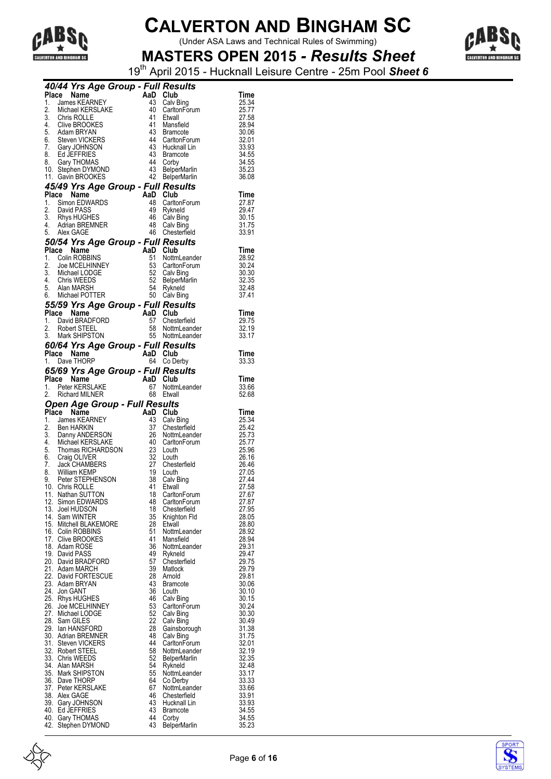

(Under ASA Laws and Technical Rules of Swimming)



**MASTERS OPEN 2015** *- Results Sheet* 19th April 2015 - Hucknall Leisure Centre - 25m Pool *Sheet 6*

|     | 40/44 Yrs Age Group - Full Results                                                                                                                                                                                                                                    |                                   |          |                                    |                |                |
|-----|-----------------------------------------------------------------------------------------------------------------------------------------------------------------------------------------------------------------------------------------------------------------------|-----------------------------------|----------|------------------------------------|----------------|----------------|
| 1.  | Place Name<br><b>Ce Name</b><br>James KEARNEY<br>Mishari ISERNEY 43 Calv E                                                                                                                                                                                            |                                   |          |                                    | Time<br>25.34  |                |
| 2.  | Michael KERSLAKE<br>Chris ROLLE                                                                                                                                                                                                                                       |                                   |          | Calv Bing<br>40 CarltonForum       | 25.77          |                |
|     | 2.<br>S. Chris ROLLE<br>4. Clive BROOKES<br>5. Adam BRYAN<br>6. Steven VICKERS<br>7. Gary JOHNSON<br>8. Ed JEFFRIES                                                                                                                                                   |                                   | 41       | Etwall                             | 27.58          |                |
|     |                                                                                                                                                                                                                                                                       |                                   |          | 41 Mansfield                       | 28.94          |                |
|     |                                                                                                                                                                                                                                                                       |                                   |          | 43 Bramcote                        | 30.06          |                |
|     |                                                                                                                                                                                                                                                                       |                                   |          | 44 CarltonForum                    | 32.01          |                |
|     |                                                                                                                                                                                                                                                                       |                                   |          | 43 Hucknall Lin                    | 33.93          |                |
|     |                                                                                                                                                                                                                                                                       |                                   |          | 43 Bramcote                        | 34.55          |                |
|     | 8. Gary THOMAS<br>10. Stephen DYMOND                                                                                                                                                                                                                                  |                                   |          | 44 Corby<br>43 BelperMarlin        | 34.55<br>35.23 |                |
|     | 11. Gavin BROOKES                                                                                                                                                                                                                                                     |                                   |          | 42 BelperMarlin                    | 36.08          |                |
|     | 45/49 Yrs Age Group - Full Results                                                                                                                                                                                                                                    |                                   |          |                                    |                |                |
|     | <b>Frace Name</b><br>1. Simon EDWARDS<br>2. David PASS<br>3. Rhys HUGHES<br>4. Adrian BREMNER<br>5. Alex GAGE<br>5. Alex GAGE<br>5. Alex GAGE<br>4. Check<br>4. Check<br>4. Check<br>4. Check<br>4. Care 4. Check<br>4. Check<br>4. Check<br>4. Check<br>4. Check<br> |                                   |          |                                    | Time           |                |
|     |                                                                                                                                                                                                                                                                       |                                   |          | 48 CarltonForum                    | 27.87          |                |
|     |                                                                                                                                                                                                                                                                       |                                   |          | 49 Rykneld                         | 29.47          |                |
|     |                                                                                                                                                                                                                                                                       |                                   |          | 46 Calv Bing                       | 30.15          |                |
|     |                                                                                                                                                                                                                                                                       |                                   |          | 48 Calv Bing<br>46 Chesterfield    | 31.75<br>33.91 |                |
|     | 50/54 Yrs Age Group - Full Results                                                                                                                                                                                                                                    |                                   |          |                                    |                |                |
|     | Place Name 3<br>1. Colin ROBBINS<br>2. Joe MCELHINNEY<br>3. Michael LODGE<br>4. Chris WEEDS<br>5. Alan MARSH<br>5. Alan MARSH<br>5. Alan MARSH<br>5. Alan MARSH<br>5. Alan MARSH<br>5. Alan MARSH<br>5. Alan MARSH<br>5. Alan MARSH<br>5. Alan MARSH<br>5.            |                                   |          |                                    | Time           |                |
|     |                                                                                                                                                                                                                                                                       |                                   |          | 51 NottmLeander                    | 28.92          |                |
|     |                                                                                                                                                                                                                                                                       |                                   |          | 53 CarltonForum                    | 30.24          |                |
|     |                                                                                                                                                                                                                                                                       |                                   |          | 52 Calv Bing<br>52 BelperMarlin    | 30.30          |                |
|     |                                                                                                                                                                                                                                                                       |                                   |          |                                    | 32.35          |                |
|     |                                                                                                                                                                                                                                                                       |                                   |          | 54 Rykneld                         | 32.48          |                |
|     |                                                                                                                                                                                                                                                                       |                                   |          | 50 Calv Bing                       | 37.41          |                |
|     | 55/59 Yrs Age Group - Full Results<br>Prince Name Control Control Control Control Control Control Control Control Control Control Control Control Control Control Control Control Control Control Control Control Control Control Control Control Control Control Co  |                                   |          |                                    |                |                |
|     |                                                                                                                                                                                                                                                                       |                                   |          | 57 Chesterfield                    | Time<br>29.75  |                |
|     |                                                                                                                                                                                                                                                                       |                                   |          | 58 NottmLeander<br>55 NottmLeander | 32.19          |                |
|     | 3. Mark SHIPSTON                                                                                                                                                                                                                                                      |                                   |          | 55 NottmLeander                    | 33.17          |                |
|     | 60/64 Yrs Age Group - Full Results                                                                                                                                                                                                                                    |                                   |          |                                    |                |                |
|     | Place Name                                                                                                                                                                                                                                                            |                                   |          | AaD Club                           | Time           |                |
|     | 1. Dave THORP                                                                                                                                                                                                                                                         |                                   |          | 64 Co Derby                        | 33.33          |                |
|     | 65/69 Yrs Age Group - Full Results                                                                                                                                                                                                                                    |                                   |          |                                    |                |                |
|     | Place Name                                                                                                                                                                                                                                                            | AaD Club<br>67 Nottm<br>68 Etwall |          |                                    | Time           |                |
|     | 1. Peter KERSLAKE                                                                                                                                                                                                                                                     |                                   |          | 67 NottmLeander                    | 33.66          |                |
|     | 2. Richard MILNER                                                                                                                                                                                                                                                     |                                   |          | 68 Etwall                          | 52.68          |                |
|     |                                                                                                                                                                                                                                                                       |                                   |          |                                    |                |                |
|     | <b>Open Age Group - Full Results</b>                                                                                                                                                                                                                                  |                                   |          |                                    |                |                |
|     | Place Name                                                                                                                                                                                                                                                            | AaD Club                          |          |                                    | Time           |                |
| 1.  | James KEARNEY                                                                                                                                                                                                                                                         |                                   |          | 43 Calv Bing                       | 25.34          |                |
|     |                                                                                                                                                                                                                                                                       |                                   |          | 37 Chesterfield                    | 25.42          |                |
|     |                                                                                                                                                                                                                                                                       |                                   |          | 26 NottmLeander                    | 25.73          |                |
|     |                                                                                                                                                                                                                                                                       |                                   |          | 40 CarltonForum<br>23 Louth        | 25.77<br>25.96 |                |
|     |                                                                                                                                                                                                                                                                       |                                   |          | 32 Louth                           | 26.16          |                |
|     |                                                                                                                                                                                                                                                                       |                                   |          | 27 Chesterfield                    | 26.46          |                |
|     |                                                                                                                                                                                                                                                                       |                                   |          | 19 Louth                           | 27.05          |                |
|     |                                                                                                                                                                                                                                                                       |                                   |          | 38 Calv Bing                       | 27.44          |                |
|     | 1. James NEARVILLE<br>2. Ben HARKIN<br>4. Michael KERSLAKE<br>5. Thomas RICHARDSON<br>6. Craig OLIVER<br>7. Jack CHAMBERS<br>8. William KEMP<br>9. Peter STEPHENSON<br>10. Chris ROLLE<br>10. Chris ROLLE                                                             |                                   |          | 41 Etwall                          | 27.58          |                |
| 12. | 11. Nathan SUTTON<br>Simon EDWARDS                                                                                                                                                                                                                                    |                                   | 18<br>48 | CarltonForum<br>CarltonForum       | 27.67          | 27.87          |
|     | 13. Joel HUDSON                                                                                                                                                                                                                                                       |                                   | 18       | Chesterfield                       |                | 27.95          |
|     | 14. Sam WINTER                                                                                                                                                                                                                                                        |                                   | 35       | Knighton Fld                       | 28.05          |                |
|     | 15. Mitchell BLAKEMORE                                                                                                                                                                                                                                                |                                   | 28       | Etwall                             |                | 28.80          |
|     | 16. Colin ROBBINS                                                                                                                                                                                                                                                     |                                   | 51       | NottmLeander                       |                | 28.92          |
|     | 17. Clive BROOKES                                                                                                                                                                                                                                                     |                                   | 41       | Mansfield                          | 28.94          |                |
|     | 18. Adam ROSE                                                                                                                                                                                                                                                         |                                   | 36       | NottmLeander                       | 29.31          |                |
|     | 19. David PASS<br>20. David BRADFORD                                                                                                                                                                                                                                  |                                   | 49<br>57 | Rykneld<br>Chesterfield            | 29.75          | 29.47          |
|     | 21. Adam MARCH                                                                                                                                                                                                                                                        |                                   | 39       | <b>Matlock</b>                     |                | 29.79          |
|     | 22. David FORTESCUE                                                                                                                                                                                                                                                   |                                   | 28       | Arnold                             |                | 29.81          |
|     | 23. Adam BRYAN                                                                                                                                                                                                                                                        |                                   | 43       | <b>Bramcote</b>                    |                | 30.06          |
|     | 24. Jon GANT                                                                                                                                                                                                                                                          |                                   | 36       | Louth                              |                | 30.10          |
|     | 25. Rhys HUGHES                                                                                                                                                                                                                                                       |                                   | 46       | Calv Bing                          |                | 30.15          |
|     | 26. Joe MCELHINNEY                                                                                                                                                                                                                                                    |                                   | 53       | CarltonForum                       |                | 30.24          |
|     | 27. Michael LODGE<br>28. Sam GILES                                                                                                                                                                                                                                    |                                   | 52<br>22 | Calv Bing<br>Calv Bing             |                | 30.30<br>30.49 |
|     | 29. Ian HANSFORD                                                                                                                                                                                                                                                      |                                   | 28       | Gainsborough                       | 31.38          |                |
|     | 30. Adrian BREMNER                                                                                                                                                                                                                                                    |                                   | 48       | Calv Bing                          |                | 31.75          |
|     | 31. Steven VICKERS                                                                                                                                                                                                                                                    |                                   | 44       | CarltonForum                       |                | 32.01          |
|     | 32. Robert STEEL                                                                                                                                                                                                                                                      |                                   | 58       | NottmLeander                       | 32.19          |                |
|     | 33. Chris WEEDS                                                                                                                                                                                                                                                       |                                   | 52       | <b>BelperMarlin</b>                | 32.35          |                |
|     | 34. Alan MARSH<br>35. Mark SHIPSTON                                                                                                                                                                                                                                   |                                   | 54<br>55 | Rykneld<br>NottmLeander            |                | 32.48<br>33.17 |
|     | 36. Dave THORP                                                                                                                                                                                                                                                        |                                   | 64       | Co Derby                           |                | 33.33          |
|     | 37. Peter KERSLAKE                                                                                                                                                                                                                                                    |                                   | 67       | NottmLeander                       |                | 33.66          |
|     | 38. Alex GAGE                                                                                                                                                                                                                                                         |                                   | 46       | Chesterfield                       |                | 33.91          |
|     | 39. Gary JOHNSON                                                                                                                                                                                                                                                      |                                   | 43       | Hucknall Lin                       |                | 33.93          |
|     | 40. Ed JEFFRIES                                                                                                                                                                                                                                                       |                                   | 43       | <b>Bramcote</b>                    |                | 34.55          |
|     | 40. Gary THOMAS<br>42. Stephen DYMOND                                                                                                                                                                                                                                 |                                   | 44<br>43 | Corby<br>BelperMarlin              |                | 34.55<br>35.23 |

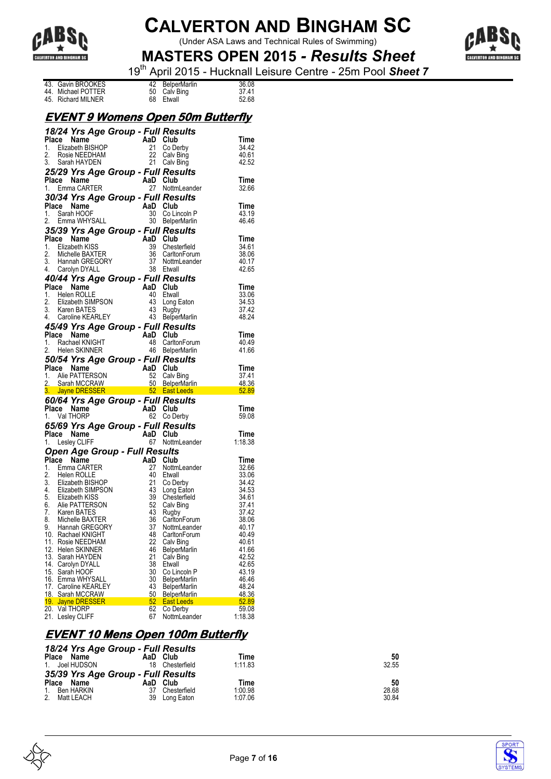

(Under ASA Laws and Technical Rules of Swimming)



**MASTERS OPEN 2015** *- Results Sheet* 19th April 2015 - Hucknall Leisure Centre - 25m Pool *Sheet 7*

|                    |  |                 | $\frac{1}{2}$ . The state of $\frac{1}{2}$ is the state state of $\frac{1}{2}$ |
|--------------------|--|-----------------|--------------------------------------------------------------------------------|
| 43. Gavin BROOKES  |  | 42 BelperMarlin | 36.08                                                                          |
| 44. Michael POTTER |  | 50 Calv Bing    | 37.41                                                                          |
| 45. Richard MILNER |  | 68 Etwall       | 52.68                                                                          |

#### **EVENT 9 Womens Open 50m Butterfly**

|     | 18/24 Yrs Age Group - Full Results                                                                                                          |                       |                          |                                                                                                                               |
|-----|---------------------------------------------------------------------------------------------------------------------------------------------|-----------------------|--------------------------|-------------------------------------------------------------------------------------------------------------------------------|
|     | Place Name<br>aue <b>Ivame</b><br>Elizabeth BISHOP<br>Posit NETSHOP 21 Co.Dr.                                                               |                       |                          | Time                                                                                                                          |
| 1.  |                                                                                                                                             |                       | 21 Co Derby              | 34.42                                                                                                                         |
| 2.  | Rosie NEEDHAM                                                                                                                               |                       | 22 Calv Bing             | 40.61                                                                                                                         |
|     | 3. Sarah HAYDEN                                                                                                                             |                       | 21 Calv Bing             | 42.52                                                                                                                         |
|     | 25/29 Yrs Age Group - Full Results                                                                                                          |                       |                          |                                                                                                                               |
|     |                                                                                                                                             |                       |                          |                                                                                                                               |
|     | AaD Club<br>27 Nottm<br>Place Name                                                                                                          |                       |                          | Time                                                                                                                          |
|     | 1. Emma CARTER                                                                                                                              |                       | 27 NottmLeander          | 32.66                                                                                                                         |
|     | 30/34 Yrs Age Group - Full Results                                                                                                          |                       |                          |                                                                                                                               |
|     | Place Name                                                                                                                                  | AaD Club              |                          | Time                                                                                                                          |
|     | 1. Sarah HOOF                                                                                                                               |                       | 30 Co Lincoln P          | 43.19                                                                                                                         |
|     | 2. Emma WHYSALL                                                                                                                             |                       | 30 BelperMarlin          | 46.46                                                                                                                         |
|     |                                                                                                                                             |                       |                          |                                                                                                                               |
|     | 35/39 Yrs Age Group - Full Results                                                                                                          |                       |                          |                                                                                                                               |
|     |                                                                                                                                             | $A\overline{a}D$ Club |                          | <b>Time</b>                                                                                                                   |
|     |                                                                                                                                             |                       | 39 Chesterfield          | 34.61                                                                                                                         |
|     |                                                                                                                                             |                       | 36 CarltonForum          | 38.06                                                                                                                         |
|     |                                                                                                                                             |                       | 37 NottmLeander          | 40.17                                                                                                                         |
|     | 1973<br>Place Name<br>2. Michelle BAXTER<br>2. Michelle BAXTER<br>3. Hannah GREGORY<br>1. Carolyn DYALL                                     |                       | 38 Etwall                | 42.65                                                                                                                         |
|     |                                                                                                                                             |                       |                          |                                                                                                                               |
|     | 40/44 Yrs Age Group - Full Results                                                                                                          |                       |                          |                                                                                                                               |
|     | Place Name<br><b>Place Name</b><br>1. Helen ROLLE<br>2. Elizabeth SIMPSON                                                                   | AaD Club              |                          | Time                                                                                                                          |
|     |                                                                                                                                             |                       | 40 Etwall                | 33.06                                                                                                                         |
|     |                                                                                                                                             |                       | 43 Long Eaton            | 34.53                                                                                                                         |
|     | 3. Karen BATES                                                                                                                              |                       | 43 Rugby                 | 37.42                                                                                                                         |
|     | 4. Caroline KEARLEY                                                                                                                         |                       | 43 BelperMarlin          | 48.24                                                                                                                         |
|     |                                                                                                                                             |                       |                          |                                                                                                                               |
|     | 45/49 Yrs Age Group - Full Results                                                                                                          |                       |                          |                                                                                                                               |
|     | Place Name                                                                                                                                  |                       |                          | Time                                                                                                                          |
|     | $\begin{array}{cc}\n\text{AaD} & \text{Club} \\ 48 & \text{Carlto} \\ \hline\n\text{Ac} & \text{Polto} \\ \end{array}$<br>1. Rachael KNIGHT |                       | 48 CarltonForum          | 40.49                                                                                                                         |
|     | 2. Helen SKINNER                                                                                                                            |                       | 46 BelperMarlin          | 41.66                                                                                                                         |
|     | 50/54 Yrs Age Group - Full Results                                                                                                          |                       |                          |                                                                                                                               |
|     |                                                                                                                                             |                       |                          | Time                                                                                                                          |
|     |                                                                                                                                             |                       |                          |                                                                                                                               |
|     |                                                                                                                                             |                       |                          |                                                                                                                               |
|     |                                                                                                                                             |                       |                          | 37.41                                                                                                                         |
|     |                                                                                                                                             |                       |                          | 48.36                                                                                                                         |
|     |                                                                                                                                             |                       |                          | 52.89<br><b>Contract Contract Contract Contract Contract Contract Contract Contract Contract Contract Contract Contract C</b> |
|     | Place Name<br>1. Alie PATTERSON<br>2. Sarah MCCRAW 50 BelperMarlin<br>3. Jayne DRESSER 52 East Leeds                                        |                       |                          |                                                                                                                               |
|     | 60/64 Yrs Age Group - Full Results                                                                                                          |                       |                          |                                                                                                                               |
|     | Place Name                                                                                                                                  | AaD Club              |                          | Time                                                                                                                          |
|     | 1. Val THORP                                                                                                                                |                       | 62 Co Derby              | 59.08                                                                                                                         |
|     | 65/69 Yrs Age Group - Full Results                                                                                                          |                       |                          |                                                                                                                               |
|     | Place Name                                                                                                                                  | AaD Club              |                          | Time                                                                                                                          |
|     | 1. Lesley CLIFF                                                                                                                             |                       | 67 NottmLeander          | 1:18.38                                                                                                                       |
|     |                                                                                                                                             |                       |                          |                                                                                                                               |
|     | <b>Open Age Group - Full Results</b>                                                                                                        |                       |                          |                                                                                                                               |
|     | Place Name                                                                                                                                  | AaD Club              |                          | Time                                                                                                                          |
|     | 1. Emma CARTER                                                                                                                              | 27                    | NottmLeander             | 32.66                                                                                                                         |
|     |                                                                                                                                             |                       | 40 Etwall                | 33.06                                                                                                                         |
|     |                                                                                                                                             |                       | 21 Co Derby              | 34.42                                                                                                                         |
|     |                                                                                                                                             |                       | 43 Long Eaton            | 34.53                                                                                                                         |
|     |                                                                                                                                             |                       | 39 Chesterfield          | 34.61                                                                                                                         |
|     |                                                                                                                                             |                       |                          | 37.41                                                                                                                         |
|     | 2. Helen ROLLE<br>2. Helen ROLLE<br>3. Elizabeth SIMPSON<br>4. Elizabeth KISS<br>5. Alie PATTERSON<br>6. Alie PATTERSON                     |                       | 52 Calv Bing             |                                                                                                                               |
|     |                                                                                                                                             |                       | 43 Rugby                 | 37.42                                                                                                                         |
|     | 7. Karen BATES<br>8. Michelle BAXTER                                                                                                        |                       | 36 CarltonForum          | 38.06                                                                                                                         |
| 9.  | Hannah GREGORY                                                                                                                              |                       | 37 NottmLeander          | 40.17                                                                                                                         |
|     | 10. Rachael KNIGHT                                                                                                                          |                       | 48 CarltonForum          | 40.49                                                                                                                         |
| 11. | Rosie NEEDHAM                                                                                                                               | 22                    | Calv Bing                | 40.61                                                                                                                         |
| 12. | <b>Helen SKINNER</b>                                                                                                                        | 46                    | <b>BelperMarlin</b>      | 41.66                                                                                                                         |
| 13. | Sarah HAYDEN                                                                                                                                | 21                    | Calv Bing                | 42.52                                                                                                                         |
| 14. | Carolyn DYALL                                                                                                                               | 38                    | Etwall                   | 42.65                                                                                                                         |
| 15. | Sarah HOOF                                                                                                                                  | 30                    | Co Lincoln P             | 43.19                                                                                                                         |
|     | 16. Emma WHYSALL                                                                                                                            | 30                    | <b>BelperMarlin</b>      | 46.46                                                                                                                         |
|     | 17. Caroline KEARLEY                                                                                                                        | 43                    | BelperMarlin             | 48.24                                                                                                                         |
|     | 18. Sarah MCCRAW                                                                                                                            | 50                    | <b>BelperMarlin</b>      | 48.36                                                                                                                         |
|     | 19. Jayne DRESSER                                                                                                                           | 52.                   | East Leeds               | 52.89                                                                                                                         |
| 20. | Val THORP<br>21. Lesley CLIFF                                                                                                               | 62                    | Co Derby<br>NottmLeander | 59.08<br>1:18.38                                                                                                              |

#### **EVENT 10 Mens Open 100m Butterfly**

| 18/24 Yrs Age Group - Full Results |                  |                         |       |
|------------------------------------|------------------|-------------------------|-------|
| Place<br>Name                      | Club<br>AaD      | Time                    | 50    |
| 1. Joel HUDSON                     | 18               | 1:11.83<br>Chesterfield | 32.55 |
| 35/39 Yrs Age Group - Full Results |                  |                         |       |
| Place Name                         | Club<br>AaD      | Time                    | 50    |
| Ben HARKIN                         | 37               | 1:00.98<br>Chesterfield | 28.68 |
| 2.<br>Matt LEACH                   | 39<br>Long Eaton | 1:07.06                 | 30.84 |





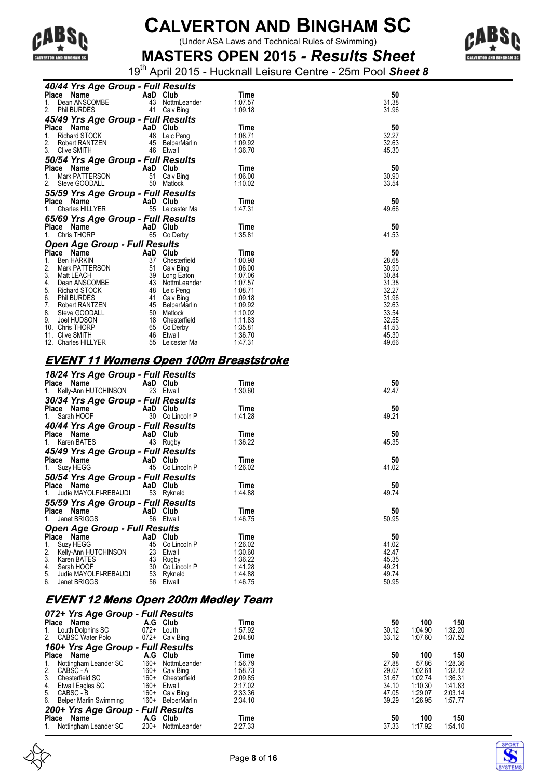

(Under ASA Laws and Technical Rules of Swimming)



**MASTERS OPEN 2015** *- Results Sheet* 19th April 2015 - Hucknall Leisure Centre - 25m Pool *Sheet 8*

|                  | 40/44 Yrs Age Group - Full Results   |          |                         |                    |                |
|------------------|--------------------------------------|----------|-------------------------|--------------------|----------------|
| Place            | Name                                 | AaD Club |                         | <b>Time</b>        | 50             |
|                  | Dean ANSCOMBE                        | 43       | NottmLeander            | 1:07.57            | 31.38          |
| 2.               | Phil BURDES                          | 41       | Calv Bing               | 1:09.18            | 31.96          |
|                  | 45/49 Yrs Age Group - Full Results   |          |                         |                    |                |
|                  | Place Name                           | AaD Club |                         | Time               | 50             |
| 1.               | <b>Richard STOCK</b>                 | 48       | Leic Peng               | 1:08.71            | 32.27          |
| 2.               | Robert RANTZEN                       |          | 45 BelperMarlin         | 1:09.92            | 32.63          |
| 3.               | <b>Clive SMITH</b>                   |          | 46 Etwall               | 1:36.70            | 45.30          |
|                  | 50/54 Yrs Age Group - Full Results   |          |                         |                    |                |
|                  | Place Name                           | AaD Club |                         | Time               | 50             |
|                  | Mark PATTERSON                       |          | 51 Calv Bing            | 1:06.00            | 30.90          |
|                  | Steve GOODALL                        | 50       | Matlock                 | 1:10.02            | 33.54          |
|                  | 55/59 Yrs Age Group - Full Results   |          |                         |                    |                |
| Place            | Name                                 | AaD      | Club                    | Time               | 50             |
|                  | Charles HILLYER                      | 55       | Leicester Ma            | 1:47.31            | 49.66          |
|                  | 65/69 Yrs Age Group - Full Results   |          |                         |                    |                |
|                  | Place Name                           | AaD Club |                         | Time               | 50             |
|                  | Chris THORP                          | 65       | Co Derby                | 1:35.81            | 41.53          |
|                  | <b>Open Age Group - Full Results</b> |          |                         |                    |                |
|                  | Place Name                           | AaD Club |                         | Time               | 50             |
| 1.               | <b>Ben HARKIN</b>                    |          | 37 Chesterfield         | 1:00.98            | 28.68          |
| $\overline{2}$ . | Mark PATTERSON                       | 51       | Calv Bing               | 1:06.00            | 30.90          |
| 3.               | <b>Matt LEACH</b>                    |          | 39 Long Eaton           | 1:07.06            | 30.84          |
| 4.               | Dean ANSCOMBE                        |          | 43 NottmLeander         | 1:07.57            | 31.38          |
| 5.               | <b>Richard STOCK</b>                 | 48       | Leic Peng               | 1:08.71            | 32.27          |
| 6.<br>7.         | <b>Phil BURDES</b>                   | 41       | Calv Bing               | 1:09.18            | 31.96          |
| 8.               | Robert RANTZEN                       | 45       | BelperMarlin            | 1:09.92<br>1:10.02 | 32.63          |
| 9.               | Steve GOODALL<br>Joel HUDSON         | 50<br>18 | Matlock<br>Chesterfield | 1:11.83            | 33.54<br>32.55 |
| 10.              | <b>Chris THORP</b>                   | 65       | Co Derby                | 1:35.81            | 41.53          |
| 11.              | <b>Clive SMITH</b>                   | 46       | Etwall                  | 1:36.70            | 45.30          |
|                  | 12. Charles HILLYER                  | 55       | Leicester Ma            | 1:47.31            | 49.66          |

#### **EVENT 11 Womens Open 100m Breaststroke**

| 18/24 Yrs Age Group - Full Results                                         |                 |         |       |
|----------------------------------------------------------------------------|-----------------|---------|-------|
| Place Name                                                                 | AaD Club        | Time    | 50    |
| 1. Kelly-Ann HUTCHINSON 23 Etwall                                          |                 | 1:30.60 | 42.47 |
| 30/34 Yrs Age Group - Full Results                                         |                 |         |       |
| Place Name AaD Club                                                        |                 | Time    | 50    |
| 1. Sarah HOOF                                                              | 30 Co Lincoln P | 1:41.28 | 49.21 |
| 40/44 Yrs Age Group - Full Results                                         |                 |         |       |
| Place Name                                                                 | AaD Club        | Time    | 50    |
| 1. Karen BATES                                                             | 43 Rugby        | 1:36.22 | 45.35 |
| 45/49 Yrs Age Group - Full Results                                         |                 |         |       |
| Place Name AaD Club                                                        |                 | Time    | 50    |
| 1. Suzy HEGG                                                               | 45 Co Lincoln P | 1:26.02 | 41.02 |
| 50/54 Yrs Age Group - Full Results                                         |                 |         |       |
| Place Name                                                                 | AaD Club        | Time    | 50    |
| 1. Judie MAYOLFI-REBAUDI                                                   | 53 Rykneld      | 1:44.88 | 49.74 |
| 55/59 Yrs Age Group - Full Results                                         |                 |         |       |
| Place Name AaD Club                                                        |                 | Time    | 50    |
| 1. Janet BRIGGS                                                            | 56 Etwall       | 1:46.75 | 50.95 |
| <b>Open Age Group - Full Results</b>                                       |                 |         |       |
| Place Name                                                                 | AaD Club        | Time    | 50    |
|                                                                            | 45 Co Lincoln P | 1:26.02 | 41.02 |
|                                                                            | 23 Etwall       | 1:30.60 | 42.47 |
|                                                                            | 43 Rugby        | 1:36.22 | 45.35 |
| 1. Suzy HEGG<br>2. Kelly-Ann HUTCHINSON<br>3. Karen BATES<br>4. Sarah HOOF | 30 Co Lincoln P | 1:41.28 | 49.21 |
| 5. Judie MAYOLFI-REBAUDI<br>6. Janet BRIGGS                                | 53 Rykneld      | 1.44.88 | 49.74 |
|                                                                            | 56 Etwall       | 1:46.75 | 50.95 |

#### **EVENT 12 Mens Open 200m Medley Team**

| 072+ Yrs Age Group - Full Results |          |              |         |       |         |         |
|-----------------------------------|----------|--------------|---------|-------|---------|---------|
| Place<br>Name                     | A.G Club |              | Time    | 50    | 100     | 150     |
| Louth Dolphins SC<br>1.           | $072+$   | Louth        | 1:57.92 | 30.12 | 1:04.90 | 1:32.20 |
| <b>CABSC Water Polo</b><br>2.     | $072+$   | Calv Bing    | 2:04.80 | 33.12 | 1:07.60 | 1:37.52 |
| 160+ Yrs Age Group - Full Results |          |              |         |       |         |         |
| Place<br>Name                     | A.G      | Club         | Time    | 50    | 100     | 150     |
| Nottingham Leander SC<br>1.       | $160+$   | NottmLeander | 1:56.79 | 27.88 | 57.86   | 1:28.36 |
| 2.<br>CABSC - A                   | $160+$   | Calv Bing    | 1:58.73 | 29.07 | 1:02.61 | 1:32.12 |
| 3.<br>Chesterfield SC             | $160+$   | Chesterfield | 2:09.85 | 31.67 | 1:02.74 | 1:36.31 |
| Etwall Eagles SC<br>4.            | $160+$   | Etwall       | 2:17.02 | 34.10 | 1:10.30 | 1:41.83 |
| CABSC - B<br>5.                   | $160+$   | Calv Bing    | 2:33.36 | 47.05 | 1:29.07 | 2:03.14 |
| 6. Belper Marlin Swimming         | $160+$   | BelperMarlin | 2:34.10 | 39.29 | 1:26.95 | 1:57.77 |
| 200+ Yrs Age Group - Full Results |          |              |         |       |         |         |
| Name<br>Place                     | A.G Club |              | Time    | 50    | 100     | 150     |
| Nottingham Leander SC<br>1.       | $200+$   | NottmLeander | 2:27.33 | 37.33 | 1:17.92 | 1:54.10 |





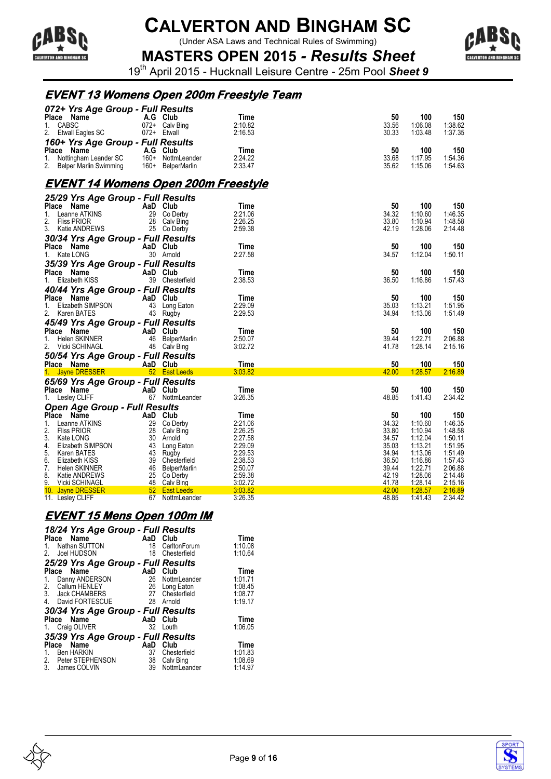

(Under ASA Laws and Technical Rules of Swimming)



**MASTERS OPEN 2015** *- Results Sheet* 19th April 2015 - Hucknall Leisure Centre - 25m Pool *Sheet 9*

#### **EVENT 13 Womens Open 200m Freestyle Team**

| 072+ Yrs Age Group - Full Results                                                                            |          |                                                                  |                    |                |                    |                    |
|--------------------------------------------------------------------------------------------------------------|----------|------------------------------------------------------------------|--------------------|----------------|--------------------|--------------------|
| Place Name                                                                                                   |          | A.G Club                                                         | Time               | 50             | 100                | 150                |
| 1. CABSC                                                                                                     |          | 072+ Calv Bing                                                   | 2:10.82            | 33.56          | 1:06.08            | 1:38.62            |
| 2.<br>Etwall Eagles SC                                                                                       |          | 072+ Etwall                                                      | 2:16.53            | 30.33          | 1:03.48            | 1:37.35            |
| 160+ Yrs Age Group - Full Results                                                                            |          |                                                                  |                    |                |                    |                    |
| Place Name                                                                                                   |          |                                                                  | Time               | 50             | 100                | 150                |
| 1.                                                                                                           |          | 160+ NottmLeander                                                | 2:24.22            | 33.68          | 1:17.95            | 1:54.36            |
| Ce Name A.G Club<br>Nottingham Leander SC 160+ NottmLeande<br>Belper Marlin Swimming 160+ BelperMarlin<br>2. |          |                                                                  | 2:33.47            | 35.62          | 1:15.06            | 1:54.63            |
| <u>EVENT 14 Womens Open 200m Freestyle</u>                                                                   |          |                                                                  |                    |                |                    |                    |
| 25/29 Yrs Age Group - Full Results                                                                           |          |                                                                  |                    |                |                    |                    |
| Place Name                                                                                                   |          | AaD Club                                                         | Time               | 50             | 100                | 150                |
| Leanne ATKINS<br>1.                                                                                          |          | 29 Co Derby                                                      | 2:21.06            | 34.32          | 1:10.60            | 1:46.35            |
| 2.<br><b>Fliss PRIOR</b>                                                                                     |          | 28 Calv Bing                                                     | 2:26.25            | 33.80          | 1:10.94            | 1:48.58            |
| 3.<br>Katie ANDREWS                                                                                          |          | 25 Co Derby                                                      | 2:59.38            | 42.19          | 1:28.06            | 2:14.48            |
| 30/34 Yrs Age Group - Full Results                                                                           |          |                                                                  |                    |                |                    |                    |
| Place Name                                                                                                   |          | AaD Club                                                         | Time               | 50             | 100                | 150                |
| 1. Kate LONG                                                                                                 |          | 30 Arnold                                                        | 2:27.58            | 34.57          | 1:12.04            | 1:50.11            |
| 35/39 Yrs Age Group - Full Results                                                                           |          |                                                                  |                    |                |                    |                    |
| Place Name<br>e de la construcción                                                                           | AaD Club |                                                                  | Time               | 50             | 100                | 150                |
| 1.<br>Elizabeth KISS                                                                                         |          | 39 Chesterfield                                                  | 2:38.53            | 36.50          | 1:16.86            | 1:57.43            |
| 40/44 Yrs Age Group - Full Results                                                                           |          |                                                                  |                    |                |                    |                    |
| Place Name                                                                                                   |          | AaD Club                                                         | Time               | 50             | 100                | 150                |
| 1. Elizabeth SIMPSON                                                                                         |          | 43 Long Eaton                                                    | 2:29.09            | 35.03          | 1:13.21            | 1:51.95            |
| 2. Karen BATES                                                                                               |          | 43 Rugby                                                         | 2:29.53            | 34.94          | 1:13.06            | 1:51.49            |
| 45/49 Yrs Age Group - Full Results                                                                           |          |                                                                  |                    |                |                    |                    |
| Place Name                                                                                                   |          | AaD Club                                                         | Time               | 50             | 100                | 150                |
| <b>Helen SKINNER</b><br>$1_{-}$                                                                              |          | 46 BelperMarlin                                                  | 2:50.07            | 39.44          | 1:22.71            | 2:06.88            |
| 2.<br>Vicki SCHINAGL                                                                                         |          | 48 Calv Bing                                                     | 3:02.72            | 41.78          | 1:28.14            | 2:15.16            |
| 50/54 Yrs Age Group - Full Results                                                                           |          |                                                                  |                    |                |                    |                    |
| Place Name                                                                                                   |          | AaD Club                                                         | Time               | 50             | 100                | 150                |
| 1. Jayne DRESSER                                                                                             |          | <b>Example 12 S2 East Leeds</b>                                  | 3:03.82            | 42.00          | 1:28.57            | 2:16.89            |
| 65/69 Yrs Age Group - Full Results                                                                           |          |                                                                  |                    |                |                    |                    |
| Place Name                                                                                                   |          | AaD Club                                                         | Time               | 50             | 100                | 150                |
| 1.<br>Lesley CLIFF                                                                                           |          | 67 NottmLeander                                                  | 3:26.35            | 48.85          | 1:41.43            | 2:34.42            |
| <b>Open Age Group - Full Results</b>                                                                         |          |                                                                  |                    |                |                    |                    |
| Place Name                                                                                                   |          | AaD Club                                                         | Time               | 50             | 100                | 150                |
| 1.<br>Leanne ATKINS                                                                                          |          | 29 Co Derby                                                      | 2:21.06            | 34.32          | 1:10.60            | 1:46.35            |
| 2.<br><b>Fliss PRIOR</b>                                                                                     |          | 28 Calv Bing                                                     | 2:26.25            | 33.80          | 1:10.94            | 1:48.58            |
| 3.<br>Kate LONG                                                                                              |          | 30 Arnold                                                        | 2:27.58            | 34.57          | 1:12.04            | 1:50.11            |
| 4.<br>Elizabeth SIMPSON                                                                                      |          | 43 Long Eaton                                                    | 2:29.09            | 35.03          | 1:13.21            | 1:51.95            |
| 5. Karen BATES<br>6.                                                                                         |          | 43 Rugby<br>39 Chesterfield                                      | 2:29.53<br>2:38.53 | 34.94<br>36.50 | 1:13.06<br>1:16.86 | 1:51.49<br>1:57.43 |
| Elizabeth KISS<br>7.<br>Helen SKINNER                                                                        |          |                                                                  | 2:50.07            | 39.44          | 1:22.71            | 2:06.88            |
| 8.<br>Katie ANDREWS                                                                                          |          |                                                                  | 2:59.38            | 42.19          | 1:28.06            | 2:14.48            |
| 9.<br>Vicki SCHINAGL                                                                                         |          | 39 Chesterneid<br>46 BelperMarlin<br>25 Co Derby<br>48 Calv Bing | 3:02.72            | 41.78          | 1:28.14            | 2:15.16            |
| 10. Jayne DRESSER                                                                                            |          | <u>52</u> East Leeds                                             | 3:03.82            | 42.00          | 1:28.57            | 2:16.89            |
| 11. Lesley CLIFF                                                                                             |          | 67 NottmLeander                                                  | 3:26.35            | 48.85          | 1:41.43            | 2:34.42            |

### **EVENT 15 Mens Open 100m IM**

| 18/24 Yrs Age Group - Full Results<br>Place Name<br>Nathan SUTTON<br>$1_{-}$<br>2. Joel HUDSON                    | 18<br>18               | AaD Club<br>CarltonForum<br>Chesterfield                | <b>Time</b><br>1:10.08<br>1:10.64                |
|-------------------------------------------------------------------------------------------------------------------|------------------------|---------------------------------------------------------|--------------------------------------------------|
| 25/29 Yrs Age Group - Full Results<br>Name                                                                        |                        | Club                                                    |                                                  |
| <b>Place</b><br>Danny ANDERSON<br>1.<br>Callum HENLEY<br>2 <sup>2</sup><br>3. Jack CHAMBERS<br>4. David FORTESCUE | AaD<br>26<br>27<br>-28 | 26 NottmLeander<br>Long Eaton<br>Chesterfield<br>Arnold | Time<br>1:01.71<br>1:08.45<br>1:08.77<br>1:19.17 |
| 30/34 Yrs Age Group - Full Results                                                                                |                        |                                                         |                                                  |
| Place Name<br>1. Craig OLIVER                                                                                     | AaD<br>32              | Club<br>Louth                                           | Time<br>1:06.05                                  |
| 35/39 Yrs Age Group - Full Results                                                                                |                        |                                                         |                                                  |
| Name<br><b>Place</b><br>Ben HARKIN<br>1.<br>2. Peter STEPHENSON<br>3.<br>James COLVIN                             | AaD<br>37<br>38<br>39  | Club<br>Chesterfield<br>Calv Bing<br>NottmLeander       | Time<br>1:01.83<br>1:08.69<br>1:14.97            |



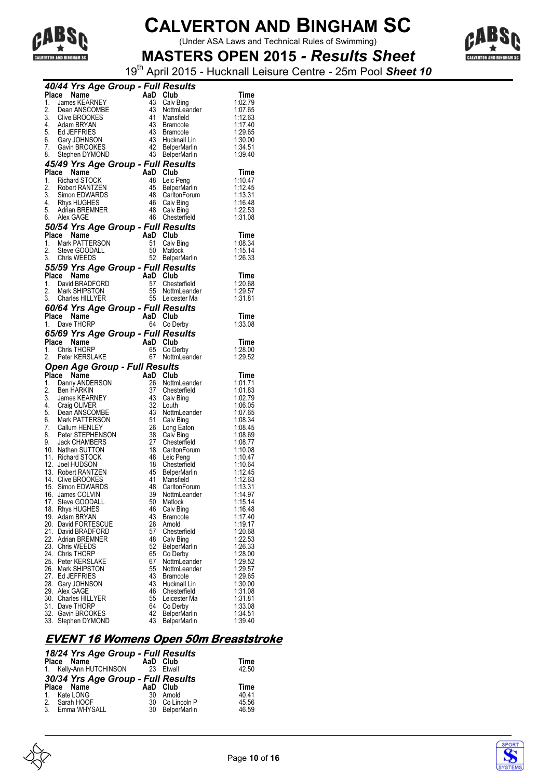

(Under ASA Laws and Technical Rules of Swimming)



**MASTERS OPEN 2015** *- Results Sheet* 19th April 2015 - Hucknall Leisure Centre - 25m Pool *Sheet 10*

|            | 40/44 Yrs Age Group - Full Results                                                                                               |                                  |                                                                                                     |                    |
|------------|----------------------------------------------------------------------------------------------------------------------------------|----------------------------------|-----------------------------------------------------------------------------------------------------|--------------------|
| Place      | <b>Le Name AaD</b><br>James KEARNEY<br>Dean ANSCOMBE 43<br>Clive BROOKES                                                         |                                  | Club                                                                                                | Time               |
| 1.         |                                                                                                                                  |                                  | Calv Bing                                                                                           | 1:02.79            |
| 2.         |                                                                                                                                  |                                  | NottmLeander                                                                                        | 1:07.65            |
|            |                                                                                                                                  |                                  | Mansfield                                                                                           | 1:12.63            |
|            | 3. Clive BROOKES<br>4. Adam BRYAN                                                                                                | 43                               | Bramcote                                                                                            | 1:17.40            |
|            | 5. Ed JEFFRIES<br>6. Gary JOHNSON<br>7. Gavin BROOKES                                                                            |                                  | 43 Bramcote                                                                                         | 1:29.65            |
|            |                                                                                                                                  |                                  | 43 Hucknall Lin                                                                                     | 1:30.00            |
|            |                                                                                                                                  |                                  | 42 BelperMarlin                                                                                     | 1:34.51            |
|            | 8. Stephen DYMOND                                                                                                                |                                  | 43 BelperMarlin                                                                                     | 1:39.40            |
|            | 45/49 Yrs Age Group - Full Results                                                                                               |                                  |                                                                                                     |                    |
| Place      | Name                                                                                                                             | AaD Club                         |                                                                                                     | Time               |
|            | 1. Richard STOCK                                                                                                                 | 48                               | Leic Peng                                                                                           | 1:10.47            |
|            |                                                                                                                                  |                                  | 45 BelperMarlin                                                                                     | 1:12.45            |
|            |                                                                                                                                  |                                  | 48 CarltonForum                                                                                     | 1:13.31            |
|            | 2. Robert RANTZEN<br>3. Simon EDWARDS<br>4. Rhys HUGHES<br>5. Adrian BREMNER                                                     |                                  | 46 Calv Bing                                                                                        | 1:16.48            |
|            |                                                                                                                                  |                                  | 48 Calv Bing                                                                                        | 1:22.53            |
|            | 6. Alex GAGE                                                                                                                     |                                  | 46 Chesterfield                                                                                     | 1:31.08            |
|            | 50/54 Yrs Age Group - Full Results                                                                                               |                                  |                                                                                                     |                    |
|            |                                                                                                                                  |                                  |                                                                                                     | Time               |
|            |                                                                                                                                  |                                  | 51 Calv Bing                                                                                        | 1:08.34            |
|            | Print Participal Trust of Text Participal Text 1.<br>1. Mark PATTERSON 51 Calv E<br>2. Steve GOODALL 50 Matlor<br>3. Chris WEFDS |                                  | Matlock                                                                                             | 1:15.14            |
|            | 3. Chris WEEDS                                                                                                                   |                                  | 52 BelperMarlin                                                                                     | 1:26.33            |
|            | 55/59 Yrs Age Group - Full Results                                                                                               |                                  |                                                                                                     |                    |
|            | Place Name                                                                                                                       |                                  |                                                                                                     | Time               |
|            | 1. David BRADFORD                                                                                                                |                                  | Chesterfield                                                                                        | 1:20.68            |
|            | 2. Mark SHIPSTON                                                                                                                 | AaD Club<br>57 Chest<br>55 Nottm | NottmLeander                                                                                        | 1:29.57            |
|            | 3. Charles HILLYER                                                                                                               |                                  | 55 Leicester Ma                                                                                     | 1:31.81            |
|            | 60/64 Yrs Age Group - Full Results                                                                                               |                                  |                                                                                                     |                    |
|            | Place Name<br>an Ta                                                                                                              | AaD Club                         |                                                                                                     | Time               |
|            | 1. Dave THORP                                                                                                                    | 64                               | Co Derby                                                                                            | 1:33.08            |
|            | 65/69 Yrs Age Group - Full Results                                                                                               |                                  |                                                                                                     |                    |
|            | Place Name                                                                                                                       | AaD Club                         |                                                                                                     | Time               |
| 1.         | Chris THORP                                                                                                                      | 65                               | Co Derby                                                                                            | 1:28.00            |
| 2.         | Peter KERSLAKE                                                                                                                   | 67                               | NottmLeander                                                                                        | 1:29.52            |
|            | <b>Open Age Group - Full Results</b>                                                                                             |                                  |                                                                                                     |                    |
|            | Place Name                                                                                                                       | AaD Club                         |                                                                                                     | Time               |
|            | 1. Danny ANDERSON                                                                                                                | 26                               | NottmLeander                                                                                        | 1:01.71            |
|            |                                                                                                                                  |                                  |                                                                                                     |                    |
|            | 2. Ben HARKIN                                                                                                                    |                                  | 37 Chesterfield                                                                                     | 1:01.83            |
|            | 3. James KEARNEY                                                                                                                 |                                  | 43 Calv Bing                                                                                        | 1:02.79            |
|            |                                                                                                                                  | 32                               | Louth                                                                                               | 1:06.05            |
|            |                                                                                                                                  | 43                               | NottmLeander                                                                                        | 1:07.65            |
|            | 4. Craig OLIVER<br>5. Dean ANSCOMBE<br>6. Mark PATTERSON                                                                         | 51                               | Calv Bing                                                                                           | 1:08.34            |
|            | 7. Callum HENLEY                                                                                                                 | 26                               | Long Eaton                                                                                          | 1:08.45            |
|            |                                                                                                                                  | 38                               | Calv Bing                                                                                           | 1:08.69            |
|            | 8. Peter STEPHENSON<br>9. Jack CHAMBERS                                                                                          | 27                               | Chesterfield                                                                                        | 1:08.77            |
|            | 10. Nathan SUTTON                                                                                                                | 18                               |                                                                                                     | 1:10.08            |
|            | 11. Richard STOCK                                                                                                                | 48                               |                                                                                                     | 1:10.47            |
|            | 12. Joel HUDSON                                                                                                                  |                                  | 18 Chesterfield                                                                                     | 1:10.64            |
|            | 13. Robert RANTZEN                                                                                                               | 45                               |                                                                                                     | 1:12.45            |
|            | 14. Clive BROOKES                                                                                                                | 41<br>48                         | Chesterfield<br>CarltonForum<br>Leic Peng<br>Chesterfield<br>BelperMarlin<br>Mansfield<br>Mansfield | 1:12.63            |
|            | 15. Simon EDWARDS                                                                                                                | 39                               | CarltonForum<br>NottmLeander                                                                        | 1:13.31            |
| 17.        | 16. James COLVIN<br>Steve GOODALL                                                                                                | 50                               | Matlock                                                                                             | 1:14.97            |
| 18.        | <b>Rhys HUGHES</b>                                                                                                               | 46                               | Calv Bing                                                                                           | 1:15.14<br>1:16.48 |
| 19.        | Adam BRYAN                                                                                                                       | 43                               | <b>Bramcote</b>                                                                                     | 1:17.40            |
|            | 20. David FORTESCUE                                                                                                              | 28                               | Arnold                                                                                              | 1:19.17            |
|            | 21. David BRADFORD                                                                                                               | 57                               | Chesterfield                                                                                        | 1:20.68            |
|            | 22. Adrian BREMNER                                                                                                               | 48                               | Calv Bing                                                                                           | 1:22.53            |
| 23.        | Chris WEEDS                                                                                                                      | 52                               | <b>BelperMarlin</b>                                                                                 | 1:26.33            |
| 24.        | Chris THORP                                                                                                                      | 65                               | Co Derby                                                                                            | 1:28.00            |
| 25.        | Peter KERSLAKE                                                                                                                   | 67                               | NottmLeander                                                                                        | 1:29.52            |
| 26.        | Mark SHIPSTON                                                                                                                    | 55                               | NottmLeander                                                                                        | 1:29.57            |
| 27.        | <b>Ed JEFFRIES</b>                                                                                                               | 43                               | <b>Bramcote</b>                                                                                     | 1:29.65            |
| 28.        | Gary JOHNSON                                                                                                                     | 43                               | Hucknall Lin                                                                                        | 1:30.00            |
| 29.        | Alex GAGE                                                                                                                        | 46                               | Chesterfield                                                                                        | 1:31.08            |
| 30.        | <b>Charles HILLYER</b>                                                                                                           | 55                               | Leicester Ma                                                                                        | 1:31.81            |
| 31.<br>32. | Dave THORP<br>Gavin BROOKES                                                                                                      | 64<br>42                         | Co Derby<br><b>BelperMarlin</b>                                                                     | 1:33.08<br>1:34.51 |

### **EVENT 16 Womens Open 50m Breaststroke**

| Time  |
|-------|
| 42.50 |
|       |
| Time  |
| 40.41 |
| 45.56 |
| 46.59 |
|       |



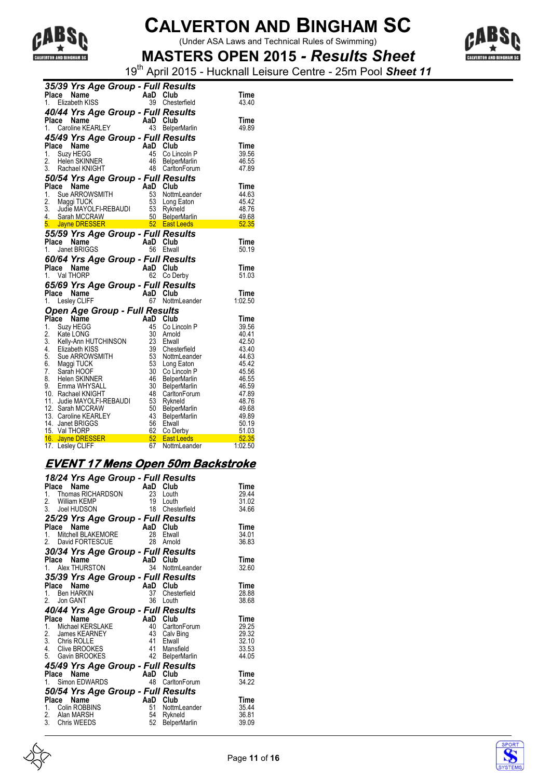

(Under ASA Laws and Technical Rules of Swimming)



**MASTERS OPEN 2015** *- Results Sheet* 19th April 2015 - Hucknall Leisure Centre - 25m Pool *Sheet 11*

|       |       | 35/39 Yrs Age Group - Full Results                                                |              |                 |                                                                                                                                                                                                                                                        |                            |
|-------|-------|-----------------------------------------------------------------------------------|--------------|-----------------|--------------------------------------------------------------------------------------------------------------------------------------------------------------------------------------------------------------------------------------------------------|----------------------------|
| Place |       | Name                                                                              |              | AaD Club        |                                                                                                                                                                                                                                                        | Time                       |
|       |       | 1. Elizabeth KISS                                                                 |              |                 | 39 Chesterfield                                                                                                                                                                                                                                        | 43.40                      |
|       |       | 40/44 Yrs Age Group - Full Results                                                |              |                 |                                                                                                                                                                                                                                                        |                            |
|       |       |                                                                                   |              |                 |                                                                                                                                                                                                                                                        | Time                       |
|       |       | act <b>Name</b><br>1. Caroline KEARLEY 43 Below                                   |              |                 | 43 BelperMarlin                                                                                                                                                                                                                                        | 49.89                      |
|       |       | 45/49 Yrs Age Group - Full Results                                                |              |                 |                                                                                                                                                                                                                                                        |                            |
|       |       | Place Name                                                                        |              |                 |                                                                                                                                                                                                                                                        | Time                       |
|       |       | 1. Suzy HEGG                                                                      |              |                 |                                                                                                                                                                                                                                                        | 39.56                      |
|       |       | 2. Helen SKINNER                                                                  |              |                 |                                                                                                                                                                                                                                                        | 46.55                      |
|       |       | 3. Rachael KNIGHT                                                                 |              |                 | AaD Club<br>45 Co Lincoln P<br>46 BelperMarlin<br>48 CarltonForum                                                                                                                                                                                      | 47.89                      |
|       |       | 50/54 Yrs Age Group - Full Results                                                |              |                 |                                                                                                                                                                                                                                                        |                            |
|       |       |                                                                                   |              |                 |                                                                                                                                                                                                                                                        | Time                       |
|       |       |                                                                                   |              |                 |                                                                                                                                                                                                                                                        | 44.63                      |
|       |       |                                                                                   |              |                 |                                                                                                                                                                                                                                                        | 45.42                      |
|       |       |                                                                                   |              |                 |                                                                                                                                                                                                                                                        | 48.76                      |
|       |       |                                                                                   |              |                 |                                                                                                                                                                                                                                                        | 49.68                      |
|       |       |                                                                                   |              |                 | Place Name<br>1. Sue ARROWSMITH<br>1. Sue ARROWSMITH<br>2. Maggi TUCK<br>3. Judie MAYOLFI-REBAUDI<br>4. Sarah MCCRAW<br>5. Jayne DRESSER<br>5. Jayne DRESSER<br>5. Jayne DRESSER<br>5. Jayne DRESSER<br>5. Jayne DRESSER<br>5. Jayne DRESSER<br>5. Jay | <b>CONTRACTOR</b><br>52.35 |
|       |       | 55/59 Yrs Age Group - Full Results                                                |              |                 |                                                                                                                                                                                                                                                        |                            |
|       | Place | Name                                                                              |              | AaD Club        |                                                                                                                                                                                                                                                        | Time                       |
| 1.    |       | Janet BRIGGS                                                                      |              | 56              | Etwall                                                                                                                                                                                                                                                 | 50.19                      |
|       |       | 60/64 Yrs Age Group - Full Results                                                |              |                 |                                                                                                                                                                                                                                                        |                            |
|       |       | Place Name                                                                        |              | AaD Club        |                                                                                                                                                                                                                                                        | Time                       |
|       |       | 1. Val THORP                                                                      | in a shekara | 62              | Co Derby                                                                                                                                                                                                                                               | 51.03                      |
|       |       | 65/69 Yrs Age Group - Full Results                                                |              |                 |                                                                                                                                                                                                                                                        |                            |
| Place |       | Name                                                                              |              | AaD             | Club                                                                                                                                                                                                                                                   | Time                       |
|       |       | 1. Lesley CLIFF                                                                   |              |                 | 67 NottmLeander                                                                                                                                                                                                                                        | 1:02.50                    |
|       |       | Open Age Group - Full Results                                                     |              |                 |                                                                                                                                                                                                                                                        |                            |
|       |       | Place Name                                                                        |              | AaD Club        |                                                                                                                                                                                                                                                        | Time                       |
|       |       | 1. Suzy HEGG                                                                      |              | 45              | Co Lincoln P                                                                                                                                                                                                                                           | 39.56                      |
|       |       |                                                                                   |              | 30              | Arnold                                                                                                                                                                                                                                                 | 40.41                      |
|       |       |                                                                                   |              | 23              | Etwall                                                                                                                                                                                                                                                 | 42.50                      |
|       |       | 2. Kate LONG<br>3. Kelly-Ann HUTCHINSON<br>4. Elizabeth KISS<br>5. Sue ARROWSMITH |              | $rac{20}{39}$   | Chesterfield                                                                                                                                                                                                                                           | 43.40                      |
|       |       |                                                                                   |              | 53              | NottmLeander                                                                                                                                                                                                                                           | 44.63                      |
|       |       | 5. Sue ARROWSMITH<br>6. Maggi TUCK<br>7. Sarah HOOF                               |              | 53              | Long Eaton                                                                                                                                                                                                                                             | 45.42                      |
|       |       |                                                                                   |              | 30 <sup>°</sup> | Co Lincoln P                                                                                                                                                                                                                                           | 45.56                      |
|       |       | 8. Helen SKINNER<br>9. Emma WHYSALL                                               |              | - 46<br>30      | <b>BelperMarlin</b>                                                                                                                                                                                                                                    | 46.55                      |
|       |       | 10. Rachael KNIGHT                                                                |              | -48             | <b>BelperMarlin</b><br>CarltonForum                                                                                                                                                                                                                    | 46.59<br>47.89             |
|       |       | 11. Judie MAYOLFI-REBAUDI                                                         |              | 53              | Rykneld                                                                                                                                                                                                                                                | 48.76                      |
|       |       | 12. Sarah MCCRAW                                                                  |              | 50              | <b>BelperMarlin</b>                                                                                                                                                                                                                                    | 49.68                      |
|       |       | 13. Caroline KEARLEY                                                              |              | 43              | <b>BelperMarlin</b>                                                                                                                                                                                                                                    | 49.89                      |
|       |       | 14. Janet BRIGGS                                                                  |              | 56              | Etwall                                                                                                                                                                                                                                                 | 50.19                      |
|       |       | 15. Val THORP                                                                     |              |                 | 62 Co Derby                                                                                                                                                                                                                                            | 51.03                      |
|       |       | 16. Jayne DRESSER <b>Container the State Street</b>                               |              |                 | 62 Co Derby<br>52 East Leeds                                                                                                                                                                                                                           | 52.35                      |
|       |       | 17. Lesley CLIFF                                                                  |              | 67              | NottmLeander                                                                                                                                                                                                                                           | 1:02.50                    |

#### **EVENT 17 Mens Open 50m Backstroke**

|              |       | 18/24 Yrs Age Group - Full Results<br><b>Place Name</b><br>1. Thomas RICHARDSON<br>2. William KEMP<br>3. Joel HUDSON<br>18                      |                                  | Club<br>Louth<br>Louth<br>Chesterfield                                     | Time<br>29.44<br>31.02<br>34.66                   |
|--------------|-------|-------------------------------------------------------------------------------------------------------------------------------------------------|----------------------------------|----------------------------------------------------------------------------|---------------------------------------------------|
|              |       | 25/29 Yrs Age Group - Full Results<br>Frace Name<br>1. Mitchell BLAKEMORE 28 Etwall<br>2. David FORTESCUE<br>30/34 Yrs Age Group - Full Results | 28                               | Etwall<br>Arnold                                                           | Time<br>34.01<br>36.83                            |
|              |       | <b>Frace Name</b><br>1. Alex THURSTON 34 Nottm                                                                                                  |                                  | NottmLeander                                                               | Time<br>32.60                                     |
| 2.           | Place | 35/39 Yrs Age Group - Full Results<br>Name<br>1. Ben HARKIN<br>Jon GANT                                                                         | AaD Club<br>37<br>36             | Chesterfield<br>Louth                                                      | Time<br>28.88<br>38.68                            |
|              |       | 40/44 Yrs Age Group - Full Results                                                                                                              |                                  |                                                                            |                                                   |
|              | Place | Name<br>1. Michael KERSLAKE<br>2. James KEARNEY<br>2. January<br>3. Chris ROLLE<br>4. Chris BROOKES                                             | AaD Club<br>43<br>41<br>41<br>42 | 40 CarltonForum<br>Calv Bing<br>Etwall<br>Mansfield<br><b>BelperMarlin</b> | Time<br>29.25<br>29.32<br>32.10<br>33.53<br>44.05 |
|              | Place | 45/49 Yrs Age Group - Full Results                                                                                                              | AaD                              | Club                                                                       | Time                                              |
| $1_{\ldots}$ |       | <b>Ce Name</b><br>Simon EDWARDS                                                                                                                 | 48                               | CarltonForum                                                               | 34.22                                             |
|              | Place | 50/54 Yrs Age Group - Full Results<br>Name<br>1. Colin ROBBINS<br>2. Alan MARSH<br>3. Chris WEEDS                                               | AaD<br>51<br>52                  | Club<br>NottmLeander<br>54 Rykneld<br><b>BelperMarlin</b>                  | Time<br>35.44<br>36.81<br>39.09                   |



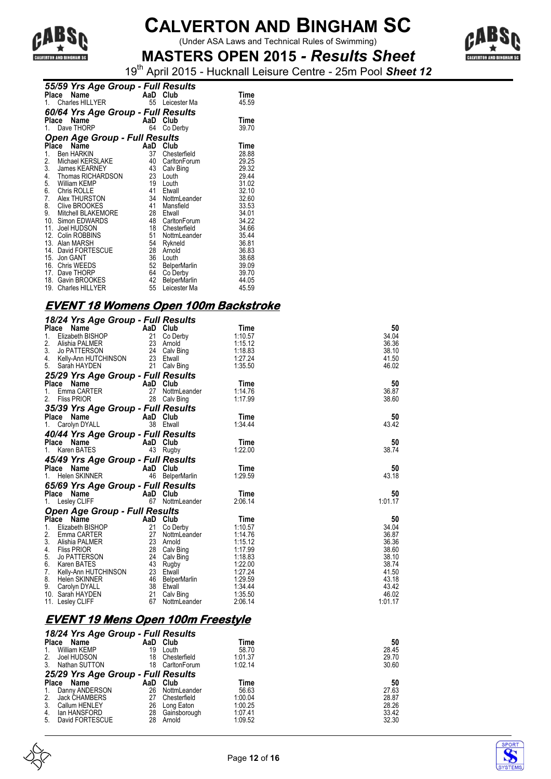

(Under ASA Laws and Technical Rules of Swimming)



**MASTERS OPEN 2015** *- Results Sheet* 19th April 2015 - Hucknall Leisure Centre - 25m Pool *Sheet 12*

|    |       | 55/59 Yrs Age Group - Full Results                   |          |                     |       |
|----|-------|------------------------------------------------------|----------|---------------------|-------|
|    | Place | <b>Ce Name AaD Club</b><br>Charles HILLYER 55 Leices |          |                     | Time  |
|    |       |                                                      |          | Leicester Ma        | 45.59 |
|    |       | 60/64 Yrs Age Group - Full Results                   |          |                     |       |
|    | Place | Name                                                 | AaD      | Club                | Time  |
| 1. |       | Dave THORP                                           | 64       | Co Derby            | 39.70 |
|    |       | <b>Open Age Group - Full Results</b>                 |          |                     |       |
|    | Place | Name                                                 | AaD Club |                     | Time  |
| 1. |       | <b>Ben HARKIN</b>                                    | 37       | Chesterfield        | 28.88 |
| 2. |       | Michael KERSLAKE                                     |          | 40 CarltonForum     | 29.25 |
| 3. |       | James KEARNEY                                        |          | 43 Calv Bing        | 29.32 |
| 4. |       | Thomas RICHARDSON                                    | 23       | Louth               | 29.44 |
| 5. |       | William KEMP                                         | 19       | Louth               | 31.02 |
|    |       | 6. Chris ROLLE                                       | 41       | Etwall              | 32.10 |
| 7. |       | Alex THURSTON                                        | 34       | NottmLeander        | 32.60 |
|    |       | 8. Clive BROOKES                                     | 41       | Mansfield           | 33.53 |
| 9. |       | Mitchell BLAKEMORE                                   | 28       | Etwall              | 34.01 |
|    |       | 10. Simon EDWARDS                                    |          | 48 CarltonForum     | 34.22 |
|    |       | 11. Joel HUDSON                                      | 18       | Chesterfield        | 34.66 |
|    |       | 12. Colin ROBBINS                                    | 51       | NottmLeander        | 35.44 |
|    |       | 13. Alan MARSH                                       | 54       | Rykneld             | 36.81 |
|    |       | 14. David FORTESCUE                                  | 28       | Arnold              | 36.83 |
|    |       | 15. Jon GANT                                         | 36       | Louth               | 38.68 |
|    |       | 16. Chris WEEDS                                      | 52       | <b>BelperMarlin</b> | 39.09 |
|    |       | 17. Dave THORP                                       | 64       | Co Derby            | 39.70 |
|    |       | 18. Gavin BROOKES                                    | 42       | <b>BelperMarlin</b> | 44.05 |
|    |       | 19. Charles HILLYER                                  | 55       | Leicester Ma        | 45.59 |

#### **EVENT 18 Womens Open 100m Backstroke**

| 18/24 Yrs Age Group - Full Results                                                                                                                                                                                                                                                                           |                           |                 |         |         |
|--------------------------------------------------------------------------------------------------------------------------------------------------------------------------------------------------------------------------------------------------------------------------------------------------------------|---------------------------|-----------------|---------|---------|
| Place<br>Name<br>$\begin{array}{cc}\n\mathbf{ge} & \cdots & \mathbf{A} & \mathbf{on} & \mathbf{on} \\ \vdots & \vdots & \ddots & \vdots & \vdots \\ \mathbf{A} & \mathbf{a} & \mathbf{on} & \mathbf{on} \\ \mathbf{a} & \mathbf{on} & \mathbf{on} \\ \mathbf{on} & \mathbf{on} & \mathbf{on} \\ \end{array}$ |                           |                 | Time    | 50      |
| 1.<br>Elizabeth BISHOP                                                                                                                                                                                                                                                                                       |                           |                 | 1:10.57 | 34.04   |
| 2.<br>Alishia PALMER                                                                                                                                                                                                                                                                                         |                           |                 | 1:15.12 | 36.36   |
| 3. Jo PATTERSON                                                                                                                                                                                                                                                                                              | 23 Arnoid<br>24 Calv Bing |                 | 1:18.83 | 38.10   |
| 4. Kelly-Ann HUTCHINSON                                                                                                                                                                                                                                                                                      | 23 Etwall                 |                 | 1:27.24 | 41.50   |
| 5. Sarah HAYDEN                                                                                                                                                                                                                                                                                              |                           | 21 Calv Bing    | 1:35.50 | 46.02   |
| 25/29 Yrs Age Group - Full Results                                                                                                                                                                                                                                                                           |                           |                 |         |         |
| Place Name                                                                                                                                                                                                                                                                                                   | AaD Club                  |                 | Time    | 50      |
| Emma CARTER<br>1.                                                                                                                                                                                                                                                                                            | 27                        | NottmLeander    | 1:14.76 | 36.87   |
| 2.<br><b>Fliss PRIOR</b>                                                                                                                                                                                                                                                                                     |                           | 28 Calv Bing    | 1:17.99 | 38.60   |
| 35/39 Yrs Age Group - Full Results                                                                                                                                                                                                                                                                           |                           |                 |         |         |
| <b>Place Name</b>                                                                                                                                                                                                                                                                                            | AaD Club                  |                 | Time    | 50      |
| 1. Carolyn DYALL                                                                                                                                                                                                                                                                                             | 38 Etwall                 |                 | 1:34.44 | 43.42   |
| 40/44 Yrs Age Group - Full Results                                                                                                                                                                                                                                                                           |                           |                 |         |         |
| Place Name                                                                                                                                                                                                                                                                                                   | AaD Club                  |                 | Time    | 50      |
| 1. Karen BATES                                                                                                                                                                                                                                                                                               | 43 Rugby                  |                 | 1:22.00 | 38.74   |
|                                                                                                                                                                                                                                                                                                              |                           |                 |         |         |
| 45/49 Yrs Age Group - Full Results                                                                                                                                                                                                                                                                           |                           |                 |         |         |
| Place Name                                                                                                                                                                                                                                                                                                   | AaD Club                  |                 | Time    | 50      |
| 1. Helen SKINNER                                                                                                                                                                                                                                                                                             |                           | 46 BelperMarlin | 1:29.59 | 43.18   |
| 65/69 Yrs Age Group - Full Results                                                                                                                                                                                                                                                                           |                           |                 |         |         |
| Place Name                                                                                                                                                                                                                                                                                                   | AaD Club                  |                 | Time    | 50      |
| 1. Lesley CLIFF                                                                                                                                                                                                                                                                                              |                           | 67 NottmLeander | 2:06.14 | 1:01.17 |
| <b>Open Age Group - Full Results</b>                                                                                                                                                                                                                                                                         |                           |                 |         |         |
| Place Name                                                                                                                                                                                                                                                                                                   | AaD Club                  |                 | Time    | 50      |
| Elizabeth BISHOP<br>1.                                                                                                                                                                                                                                                                                       |                           | 21 Co Derby     | 1:10.57 | 34.04   |
| 2. Emma CARTER                                                                                                                                                                                                                                                                                               |                           | 27 NottmLeander | 1:14.76 | 36.87   |
| 3. Alishia PALMER                                                                                                                                                                                                                                                                                            | 23 Arnold                 |                 | 1:15.12 | 36.36   |
| 4. Fliss PRIOR                                                                                                                                                                                                                                                                                               |                           | 28 Calv Bing    | 1:17.99 | 38.60   |
| 5. Jo PATTERSON                                                                                                                                                                                                                                                                                              |                           | 24 Calv Bing    | 1:18.83 | 38.10   |
| 6. Karen BATES                                                                                                                                                                                                                                                                                               | 43 Rugby                  |                 | 1:22.00 | 38.74   |
| 7. Kelly-Ann HUTCHINSON                                                                                                                                                                                                                                                                                      | 23 Etwall                 |                 | 1:27.24 | 41.50   |
| 8. Helen SKINNER                                                                                                                                                                                                                                                                                             |                           | 46 BelperMarlin | 1:29.59 | 43.18   |
| 9. Carolyn DYALL                                                                                                                                                                                                                                                                                             | 38 Etwall                 |                 | 1 34 44 | 43.42   |
| 10. Sarah HAYDEN                                                                                                                                                                                                                                                                                             |                           | 21 Calv Bing    | 1:35.50 | 46.02   |
| 11. Lesley CLIFF                                                                                                                                                                                                                                                                                             | 67                        | NottmLeander    | 2:06.14 | 1:01.17 |

### **EVENT 19 Mens Open 100m Freestyle**

|                                    | 18/24 Yrs Age Group - Full Results |          |                        |                    |                |  |
|------------------------------------|------------------------------------|----------|------------------------|--------------------|----------------|--|
| Place                              | Name                               |          | AaD Club               | Time               | 50             |  |
| 1.                                 | William KEMP                       | 19       | Louth                  | 58.70              | 28.45          |  |
| 2.                                 | Joel HUDSON                        | 18       | Chesterfield           | 1:01.37            | 29.70          |  |
| 3.                                 | Nathan SUTTON                      | 18       | CarltonForum           | 1:02.14            | 30.60          |  |
| 25/29 Yrs Age Group - Full Results |                                    |          |                        |                    |                |  |
|                                    |                                    |          |                        |                    |                |  |
| <b>Place</b>                       | Name                               | AaD      | Club                   | Time               | 50             |  |
| $1_{\cdot}$                        | Danny ANDERSON                     | 26       | NottmLeander           | 56.63              | 27.63          |  |
| 2.                                 | <b>Jack CHAMBERS</b>               | 27       | Chesterfield           | 1:00.04            | 28.87          |  |
| 3.                                 | <b>Callum HENLEY</b>               | 26       | Long Eaton             | 1:00.25            | 28.26          |  |
| 4.                                 | lan HANSFORD<br>David FORTESCUE    | 28<br>28 | Gainsborough<br>Arnold | 1:07.41<br>1:09.52 | 33.42<br>32.30 |  |



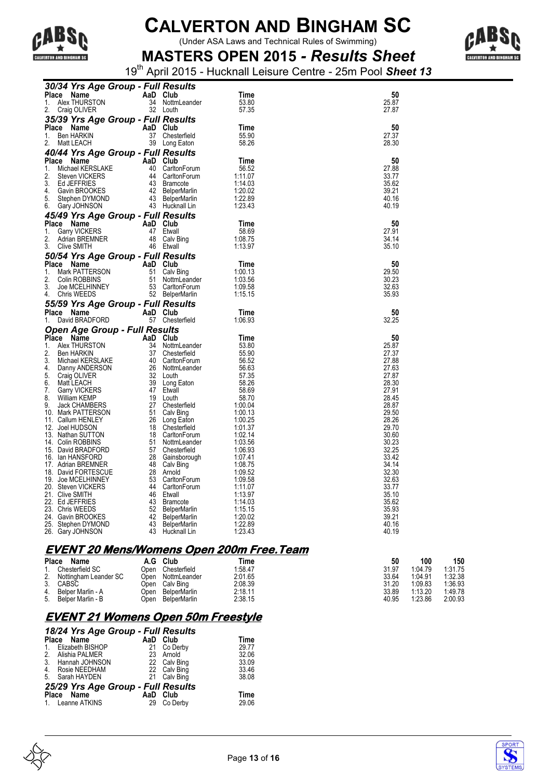

(Under ASA Laws and Technical Rules of Swimming)



**MASTERS OPEN 2015** *- Results Sheet* 19th April 2015 - Hucknall Leisure Centre - 25m Pool *Sheet 13*

| 30/34 Yrs Age Group - Full Results         |                                       |                    |                |
|--------------------------------------------|---------------------------------------|--------------------|----------------|
| Place<br>Name                              | AaD Club                              | Time               | 50             |
| Alex THURSTON<br>1.                        | 34 NottmLeander                       | 53.80              | 25.87          |
| 2.<br>Craig OLIVER                         | 32 Louth                              | 57.35              | 27.87          |
| 35/39 Yrs Age Group - Full Results         |                                       |                    |                |
| Place Name                                 | AaD Club                              | Time               | 50             |
| 1.<br>Ben HARKIN                           | 37<br>Chesterfield                    | 55.90              | 27.37          |
| Matt LEACH<br>2.                           | 39 Long Eaton                         | 58.26              | 28.30          |
| 40/44 Yrs Age Group - Full Results         |                                       |                    |                |
| Place<br>Name                              | AaD Club                              | Time               | 50             |
| 1.<br>Michael KERSLAKE                     | 40<br>CarltonForum                    | 56.52              | 27.88          |
| 2.<br>Steven VICKERS<br>3.<br>Ed JEFFRIES  | 44<br>CarltonForum<br>43 Bramcote     | 1:11.07<br>1:14.03 | 33.77<br>35.62 |
| 4.<br>Gavin BROOKES                        | 42 BelperMarlin                       | 1:20.02            | 39.21          |
| 5.<br>Stephen DYMOND                       | 43 BelperMarlin                       | 1:22.89            | 40.16          |
| 6.<br>Gary JOHNSON                         | 43 Hucknall Lin                       | 1.23.43            | 40.19          |
| 45/49 Yrs Age Group - Full Results         |                                       |                    |                |
| Place Name                                 | AaD Club                              | Time               | 50             |
| 1.<br><b>Garry VICKERS</b>                 | 47<br>Etwall                          | 58.69              | 27.91          |
| 2.<br>Adrian BREMNER                       | 48<br>Calv Bing                       | 1:08.75            | 34.14          |
| 3.<br>Clive SMITH                          | 46 Etwall                             | 1:13.97            | 35.10          |
| 50/54 Yrs Age Group - Full Results         |                                       |                    |                |
| Place Name                                 | Club<br>AaD                           | Time               | 50             |
| 1.<br>Mark PATTERSON<br>2.                 | 51<br>Calv Bing<br>51                 | 1:00.13<br>1:03.56 | 29.50          |
| Colin ROBBINS<br>3.<br>Joe MCELHINNEY      | NottmLeander<br>53<br>CarltonForum    | 1:09.58            | 30.23<br>32.63 |
| 4.<br><b>Chris WEEDS</b>                   | 52 BelperMarlin                       | 1:15.15            | 35.93          |
| 55/59 Yrs Age Group - Full Results         |                                       |                    |                |
|                                            |                                       |                    |                |
|                                            |                                       |                    |                |
| Place Name<br>David BRADFORD<br>1.         | AaD Club<br>57 Chesterfield           | Time<br>1:06.93    | 50<br>32.25    |
|                                            |                                       |                    |                |
| <b>Open Age Group - Full Results</b>       | AaD<br>Club                           | Time               | 50             |
| Place Name<br>1.<br>Alex THURSTON          | 34<br>NottmLeander                    | 53.80              | 25.87          |
| 2.<br><b>Ben HARKIN</b>                    | 37<br>Chesterfield                    | 55.90              | 27.37          |
| 3.<br>Michael KERSLAKE                     | 40<br>CarltonForum                    | 56.52              | 27.88          |
| 4.<br>Danny ANDERSON                       | 26 NottmLeander                       | 56.63              | 27.63          |
| 5.<br>Craig OLIVER                         | 32 Louth                              | 57.35              | 27.87          |
| 6.<br>Matt LEACH<br>7.                     | 39<br>Long Eaton<br>47<br>Etwall      | 58.26<br>58.69     | 28.30<br>27.91 |
| <b>Garry VICKERS</b><br>8.<br>William KEMP | 19<br>Louth                           | 58.70              | 28.45          |
| 9.<br>Jack CHAMBERS                        | 27<br>Chesterfield                    | 1:00.04            | 28.87          |
| 10 <sub>1</sub><br>Mark PATTERSON          | 51<br>Calv Bing                       | 1:00.13            | 29.50          |
| 11.<br>Callum HENLEY                       | 26<br>Long Eaton                      | 1:00.25            | 28.26          |
| Joel HUDSON<br>12.                         | 18<br>Chesterfield                    | 1:01.37            | 29.70          |
| 13. Nathan SUTTON                          | 18<br>CarltonForum<br>51              | 1:02.14            | 30.60          |
| 14. Colin ROBBINS<br>15. David BRADFORD    | NottmLeander<br>57<br>Chesterfield    | 1:03.56<br>1:06.93 | 30.23<br>32.25 |
| 16.<br>lan HANSFORD                        | 28<br>Gainsborough                    | 1:07.41            | 33.42          |
| 17.<br>Adrian BREMNER                      | 48<br>Calv Bing                       | 1:08.75            | 34.14          |
| 18. David FORTESCUE                        | 28<br>Arnold                          | 1:09.52            | 32.30          |
| 19. Joe MCELHINNEY                         | 53<br>CarltonForum                    | 1:09.58            | 32.63          |
| 20. Steven VICKERS<br>21.                  | 44<br>CarltonForum                    | 1:11.07            | 33.77          |
| Clive SMITH<br>22. Ed JEFFRIES             | 46<br>Etwall<br>43<br><b>Bramcote</b> | 1:13.97<br>1:14.03 | 35.10<br>35.62 |
| 23. Chris WEEDS                            | 52 BelperMarlin                       | 1:15.15            | 35.93          |
| 24. Gavin BROOKES                          | 42<br><b>BelperMarlin</b>             | 1:20.02            | 39.21          |
| 25. Stephen DYMOND                         | 43<br>BelperMarlin                    | 1:22.89            | 40.16          |
| 26. Gary JOHNSON                           | 43<br>Hucknall Lin                    | 1:23.43            | 40.19          |

### **EVENT 20 Mens/Womens Open 200m Free.Team**

|    | <b>Place</b><br>Name  | A.G  | Club                | Time    | 50    | 100     | 150     |
|----|-----------------------|------|---------------------|---------|-------|---------|---------|
|    | Chesterfield SC       | Open | Chesterfield        | 1:58.47 | 31.97 | 1:04.79 | 1:31.75 |
| 2. | Nottingham Leander SC | Open | NottmLeander        | 2:01.65 | 33.64 | 1:04.91 | 1:32.38 |
| 3. | <b>CABSC</b>          | Open | Calv Bing           | 2:08.39 | 31.20 | 1:09.83 | 1:36.93 |
| 4. | Belper Marlin - A     | Open | <b>BelperMarlin</b> | 2:18.11 | 33.89 | 1:13.20 | 1:49.78 |
| 5. | Belper Marlin - B     | Open | <b>BelperMarlin</b> | 2:38.15 | 40.95 | 1:23.86 | 2:00.93 |

### **EVENT 21 Womens Open 50m Freestyle**

|                                    | 18/24 Yrs Age Group - Full Results |          |              |       |  |  |
|------------------------------------|------------------------------------|----------|--------------|-------|--|--|
|                                    | Place Name                         | AaD Club |              | Time  |  |  |
| 1.                                 | Elizabeth BISHOP                   |          | 21 Co Derby  | 29.77 |  |  |
|                                    | 2. Alishia PALMER                  |          | 23 Arnold    | 32.06 |  |  |
| 3.                                 | Hannah JOHNSON                     |          | 22 Calv Bing | 33.09 |  |  |
| 4 <sup>1</sup>                     | Rosie NEEDHAM                      |          | 22 Calv Bing | 33.46 |  |  |
| 5.                                 | Sarah HAYDEN                       | 21       | Calv Bing    | 38.08 |  |  |
| 25/29 Yrs Age Group - Full Results |                                    |          |              |       |  |  |
|                                    | Place Name                         | AaD Club |              | Time  |  |  |
|                                    | 1. Leanne ATKINS                   | 29       | Co Derby     | 29.06 |  |  |



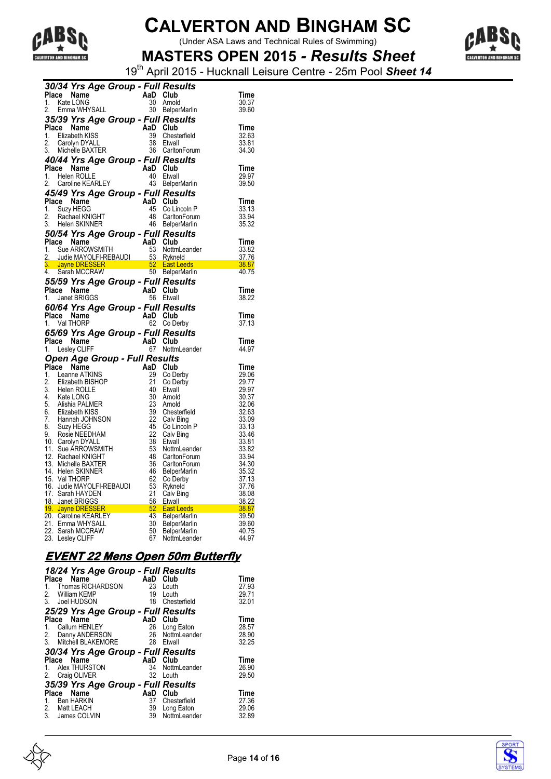

(Under ASA Laws and Technical Rules of Swimming)



**MASTERS OPEN 2015** *- Results Sheet* 19th April 2015 - Hucknall Leisure Centre - 25m Pool *Sheet 14*

| AaD Club<br>Place<br>Name<br>$\mathbb{R}^{n \times n}$<br>Kate LONG<br>30<br>1.<br>Arnold<br>30 BelperMarlin<br>Emma WHYSALL<br>2.<br>35/39 Yrs Age Group - Full Results<br>Place Name<br>AaD Club<br>Time<br>39<br>1.<br>Elizabeth KISS<br>Chesterfield<br>32.63<br>2.<br>38<br>Carolyn DYALL<br>33.81<br>Etwall<br>3.<br>Michelle BAXTER<br>36 CarltonForum<br>34.30<br>40/44 Yrs Age Group - Full Results<br>AaD Club<br>Place Name<br>Time<br>1. Helen ROLLE<br>40<br>29.97<br>Etwall<br>Caroline KEARLEY<br>43 BelperMarlin<br>39.50<br>2.<br>45/49 Yrs Age Group - Full Results<br>Place Name<br>AaD Club<br>45<br>1.<br>Suzy HEGG<br>Co Lincoln P<br>48<br>2.<br>Rachael KNIGHT<br>CarltonForum<br>46 BelperMarlin<br>3. Helen SKINNER<br>50/54 Yrs Age Group - Full Results<br>Place<br>AaD Club<br>Time<br>Sue ARROWSMITH<br>53<br>1.<br>NottmLeander<br>33.82<br>2. Judie MAYOLFI-REBAUDI<br>53 Rykneld<br>37.76<br>$\frac{38.87}{2}$<br>3. Jayne DRESSER 62 East Leeds<br>4. Sarah MCCRAW 650 BelperMarlin<br>40.75<br>55/59 Yrs Age Group - Full Results<br>Place Name<br>AaD Club<br>Janet BRIGGS<br>56 Etwall<br>1.<br>60/64 Yrs Age Group - Full Results<br>AaD<br>Place<br>Name<br>Club<br>Time<br>1. Val THORP<br>62<br>Co Derby<br>37.13<br>65/69 Yrs Age Group - Full Results<br>AaD<br>Place Name<br>Club<br>Time<br>67<br>1.<br>Lesley CLIFF<br>NottmLeander<br>44.97<br>Open Age Group - Full Results<br>Place Name<br>AaD<br>Club<br>29<br>1.<br>Leanne ATKINS<br>Co Derby<br>2.<br>21<br>Elizabeth BISHOP<br>Co Derby<br>3.<br>40<br>Etwall<br>Helen ROLLE<br>4. Kate LONG<br>30<br>Arnold<br>5. Alishia PALMER<br>23<br>Arnold<br>6. Elizabeth KISS<br>7. Hannah JOHNSON<br>39<br>Chesterfield<br>22<br>Calv Bing<br>45<br>8.<br>Suzy HEGG<br>Co Lincoln P<br>22<br>9.<br>Calv Bing<br>Rosie NEEDHAM<br>10. Carolyn DYALL<br>38<br>Etwall<br>11. Sue ARROWSMITH<br>53<br>NottmLeander<br>12. Rachael KNIGHT<br>48<br>CarltonForum<br>13. Michelle BAXTER<br>36<br>CarltonForum<br>14. Helen SKINNER<br>46<br><b>BelperMarlin</b><br>62<br>15. Val THORP<br>Co Derby<br>16. Judie MAYOLFI-REBAUDI<br>17. Sarah HAYDEN<br>53<br>Rykneld<br>21<br>Calv Bing<br>18. Janet BRIGGS<br>56<br>Etwall<br>$\frac{30.22}{38.87}$<br>19. Jayne DRESSER<br>52 <sub>2</sub><br><b>East Leeds</b><br>43<br>20. Caroline KEARLEY<br><b>BelperMarlin</b><br>30<br>21. Emma WHYSALL<br><b>BelperMarlin</b><br>22. Sarah MCCRAW<br>50<br><b>BelperMarlin</b> | 30/34 Yrs Age Group - Full Results |    |              |       |
|--------------------------------------------------------------------------------------------------------------------------------------------------------------------------------------------------------------------------------------------------------------------------------------------------------------------------------------------------------------------------------------------------------------------------------------------------------------------------------------------------------------------------------------------------------------------------------------------------------------------------------------------------------------------------------------------------------------------------------------------------------------------------------------------------------------------------------------------------------------------------------------------------------------------------------------------------------------------------------------------------------------------------------------------------------------------------------------------------------------------------------------------------------------------------------------------------------------------------------------------------------------------------------------------------------------------------------------------------------------------------------------------------------------------------------------------------------------------------------------------------------------------------------------------------------------------------------------------------------------------------------------------------------------------------------------------------------------------------------------------------------------------------------------------------------------------------------------------------------------------------------------------------------------------------------------------------------------------------------------------------------------------------------------------------------------------------------------------------------------------------------------------------------------------------------------------------------------------------------------------------------------------------------------------------------------------------------------------------------------------------------------------------------------------------------------------------------------------|------------------------------------|----|--------------|-------|
|                                                                                                                                                                                                                                                                                                                                                                                                                                                                                                                                                                                                                                                                                                                                                                                                                                                                                                                                                                                                                                                                                                                                                                                                                                                                                                                                                                                                                                                                                                                                                                                                                                                                                                                                                                                                                                                                                                                                                                                                                                                                                                                                                                                                                                                                                                                                                                                                                                                                    |                                    |    |              | Time  |
|                                                                                                                                                                                                                                                                                                                                                                                                                                                                                                                                                                                                                                                                                                                                                                                                                                                                                                                                                                                                                                                                                                                                                                                                                                                                                                                                                                                                                                                                                                                                                                                                                                                                                                                                                                                                                                                                                                                                                                                                                                                                                                                                                                                                                                                                                                                                                                                                                                                                    |                                    |    |              | 30.37 |
|                                                                                                                                                                                                                                                                                                                                                                                                                                                                                                                                                                                                                                                                                                                                                                                                                                                                                                                                                                                                                                                                                                                                                                                                                                                                                                                                                                                                                                                                                                                                                                                                                                                                                                                                                                                                                                                                                                                                                                                                                                                                                                                                                                                                                                                                                                                                                                                                                                                                    |                                    |    |              | 39.60 |
|                                                                                                                                                                                                                                                                                                                                                                                                                                                                                                                                                                                                                                                                                                                                                                                                                                                                                                                                                                                                                                                                                                                                                                                                                                                                                                                                                                                                                                                                                                                                                                                                                                                                                                                                                                                                                                                                                                                                                                                                                                                                                                                                                                                                                                                                                                                                                                                                                                                                    |                                    |    |              |       |
|                                                                                                                                                                                                                                                                                                                                                                                                                                                                                                                                                                                                                                                                                                                                                                                                                                                                                                                                                                                                                                                                                                                                                                                                                                                                                                                                                                                                                                                                                                                                                                                                                                                                                                                                                                                                                                                                                                                                                                                                                                                                                                                                                                                                                                                                                                                                                                                                                                                                    |                                    |    |              |       |
|                                                                                                                                                                                                                                                                                                                                                                                                                                                                                                                                                                                                                                                                                                                                                                                                                                                                                                                                                                                                                                                                                                                                                                                                                                                                                                                                                                                                                                                                                                                                                                                                                                                                                                                                                                                                                                                                                                                                                                                                                                                                                                                                                                                                                                                                                                                                                                                                                                                                    |                                    |    |              |       |
|                                                                                                                                                                                                                                                                                                                                                                                                                                                                                                                                                                                                                                                                                                                                                                                                                                                                                                                                                                                                                                                                                                                                                                                                                                                                                                                                                                                                                                                                                                                                                                                                                                                                                                                                                                                                                                                                                                                                                                                                                                                                                                                                                                                                                                                                                                                                                                                                                                                                    |                                    |    |              |       |
|                                                                                                                                                                                                                                                                                                                                                                                                                                                                                                                                                                                                                                                                                                                                                                                                                                                                                                                                                                                                                                                                                                                                                                                                                                                                                                                                                                                                                                                                                                                                                                                                                                                                                                                                                                                                                                                                                                                                                                                                                                                                                                                                                                                                                                                                                                                                                                                                                                                                    |                                    |    |              |       |
|                                                                                                                                                                                                                                                                                                                                                                                                                                                                                                                                                                                                                                                                                                                                                                                                                                                                                                                                                                                                                                                                                                                                                                                                                                                                                                                                                                                                                                                                                                                                                                                                                                                                                                                                                                                                                                                                                                                                                                                                                                                                                                                                                                                                                                                                                                                                                                                                                                                                    |                                    |    |              |       |
|                                                                                                                                                                                                                                                                                                                                                                                                                                                                                                                                                                                                                                                                                                                                                                                                                                                                                                                                                                                                                                                                                                                                                                                                                                                                                                                                                                                                                                                                                                                                                                                                                                                                                                                                                                                                                                                                                                                                                                                                                                                                                                                                                                                                                                                                                                                                                                                                                                                                    |                                    |    |              |       |
|                                                                                                                                                                                                                                                                                                                                                                                                                                                                                                                                                                                                                                                                                                                                                                                                                                                                                                                                                                                                                                                                                                                                                                                                                                                                                                                                                                                                                                                                                                                                                                                                                                                                                                                                                                                                                                                                                                                                                                                                                                                                                                                                                                                                                                                                                                                                                                                                                                                                    |                                    |    |              |       |
|                                                                                                                                                                                                                                                                                                                                                                                                                                                                                                                                                                                                                                                                                                                                                                                                                                                                                                                                                                                                                                                                                                                                                                                                                                                                                                                                                                                                                                                                                                                                                                                                                                                                                                                                                                                                                                                                                                                                                                                                                                                                                                                                                                                                                                                                                                                                                                                                                                                                    |                                    |    |              |       |
|                                                                                                                                                                                                                                                                                                                                                                                                                                                                                                                                                                                                                                                                                                                                                                                                                                                                                                                                                                                                                                                                                                                                                                                                                                                                                                                                                                                                                                                                                                                                                                                                                                                                                                                                                                                                                                                                                                                                                                                                                                                                                                                                                                                                                                                                                                                                                                                                                                                                    |                                    |    |              |       |
|                                                                                                                                                                                                                                                                                                                                                                                                                                                                                                                                                                                                                                                                                                                                                                                                                                                                                                                                                                                                                                                                                                                                                                                                                                                                                                                                                                                                                                                                                                                                                                                                                                                                                                                                                                                                                                                                                                                                                                                                                                                                                                                                                                                                                                                                                                                                                                                                                                                                    |                                    |    |              |       |
|                                                                                                                                                                                                                                                                                                                                                                                                                                                                                                                                                                                                                                                                                                                                                                                                                                                                                                                                                                                                                                                                                                                                                                                                                                                                                                                                                                                                                                                                                                                                                                                                                                                                                                                                                                                                                                                                                                                                                                                                                                                                                                                                                                                                                                                                                                                                                                                                                                                                    |                                    |    |              | Time  |
|                                                                                                                                                                                                                                                                                                                                                                                                                                                                                                                                                                                                                                                                                                                                                                                                                                                                                                                                                                                                                                                                                                                                                                                                                                                                                                                                                                                                                                                                                                                                                                                                                                                                                                                                                                                                                                                                                                                                                                                                                                                                                                                                                                                                                                                                                                                                                                                                                                                                    |                                    |    |              | 33.13 |
|                                                                                                                                                                                                                                                                                                                                                                                                                                                                                                                                                                                                                                                                                                                                                                                                                                                                                                                                                                                                                                                                                                                                                                                                                                                                                                                                                                                                                                                                                                                                                                                                                                                                                                                                                                                                                                                                                                                                                                                                                                                                                                                                                                                                                                                                                                                                                                                                                                                                    |                                    |    |              | 33.94 |
|                                                                                                                                                                                                                                                                                                                                                                                                                                                                                                                                                                                                                                                                                                                                                                                                                                                                                                                                                                                                                                                                                                                                                                                                                                                                                                                                                                                                                                                                                                                                                                                                                                                                                                                                                                                                                                                                                                                                                                                                                                                                                                                                                                                                                                                                                                                                                                                                                                                                    |                                    |    |              | 35.32 |
|                                                                                                                                                                                                                                                                                                                                                                                                                                                                                                                                                                                                                                                                                                                                                                                                                                                                                                                                                                                                                                                                                                                                                                                                                                                                                                                                                                                                                                                                                                                                                                                                                                                                                                                                                                                                                                                                                                                                                                                                                                                                                                                                                                                                                                                                                                                                                                                                                                                                    |                                    |    |              |       |
|                                                                                                                                                                                                                                                                                                                                                                                                                                                                                                                                                                                                                                                                                                                                                                                                                                                                                                                                                                                                                                                                                                                                                                                                                                                                                                                                                                                                                                                                                                                                                                                                                                                                                                                                                                                                                                                                                                                                                                                                                                                                                                                                                                                                                                                                                                                                                                                                                                                                    |                                    |    |              |       |
|                                                                                                                                                                                                                                                                                                                                                                                                                                                                                                                                                                                                                                                                                                                                                                                                                                                                                                                                                                                                                                                                                                                                                                                                                                                                                                                                                                                                                                                                                                                                                                                                                                                                                                                                                                                                                                                                                                                                                                                                                                                                                                                                                                                                                                                                                                                                                                                                                                                                    |                                    |    |              |       |
|                                                                                                                                                                                                                                                                                                                                                                                                                                                                                                                                                                                                                                                                                                                                                                                                                                                                                                                                                                                                                                                                                                                                                                                                                                                                                                                                                                                                                                                                                                                                                                                                                                                                                                                                                                                                                                                                                                                                                                                                                                                                                                                                                                                                                                                                                                                                                                                                                                                                    |                                    |    |              |       |
|                                                                                                                                                                                                                                                                                                                                                                                                                                                                                                                                                                                                                                                                                                                                                                                                                                                                                                                                                                                                                                                                                                                                                                                                                                                                                                                                                                                                                                                                                                                                                                                                                                                                                                                                                                                                                                                                                                                                                                                                                                                                                                                                                                                                                                                                                                                                                                                                                                                                    |                                    |    |              |       |
|                                                                                                                                                                                                                                                                                                                                                                                                                                                                                                                                                                                                                                                                                                                                                                                                                                                                                                                                                                                                                                                                                                                                                                                                                                                                                                                                                                                                                                                                                                                                                                                                                                                                                                                                                                                                                                                                                                                                                                                                                                                                                                                                                                                                                                                                                                                                                                                                                                                                    |                                    |    |              |       |
|                                                                                                                                                                                                                                                                                                                                                                                                                                                                                                                                                                                                                                                                                                                                                                                                                                                                                                                                                                                                                                                                                                                                                                                                                                                                                                                                                                                                                                                                                                                                                                                                                                                                                                                                                                                                                                                                                                                                                                                                                                                                                                                                                                                                                                                                                                                                                                                                                                                                    |                                    |    |              |       |
|                                                                                                                                                                                                                                                                                                                                                                                                                                                                                                                                                                                                                                                                                                                                                                                                                                                                                                                                                                                                                                                                                                                                                                                                                                                                                                                                                                                                                                                                                                                                                                                                                                                                                                                                                                                                                                                                                                                                                                                                                                                                                                                                                                                                                                                                                                                                                                                                                                                                    |                                    |    |              |       |
|                                                                                                                                                                                                                                                                                                                                                                                                                                                                                                                                                                                                                                                                                                                                                                                                                                                                                                                                                                                                                                                                                                                                                                                                                                                                                                                                                                                                                                                                                                                                                                                                                                                                                                                                                                                                                                                                                                                                                                                                                                                                                                                                                                                                                                                                                                                                                                                                                                                                    |                                    |    |              | Time  |
|                                                                                                                                                                                                                                                                                                                                                                                                                                                                                                                                                                                                                                                                                                                                                                                                                                                                                                                                                                                                                                                                                                                                                                                                                                                                                                                                                                                                                                                                                                                                                                                                                                                                                                                                                                                                                                                                                                                                                                                                                                                                                                                                                                                                                                                                                                                                                                                                                                                                    |                                    |    |              | 38.22 |
|                                                                                                                                                                                                                                                                                                                                                                                                                                                                                                                                                                                                                                                                                                                                                                                                                                                                                                                                                                                                                                                                                                                                                                                                                                                                                                                                                                                                                                                                                                                                                                                                                                                                                                                                                                                                                                                                                                                                                                                                                                                                                                                                                                                                                                                                                                                                                                                                                                                                    |                                    |    |              |       |
|                                                                                                                                                                                                                                                                                                                                                                                                                                                                                                                                                                                                                                                                                                                                                                                                                                                                                                                                                                                                                                                                                                                                                                                                                                                                                                                                                                                                                                                                                                                                                                                                                                                                                                                                                                                                                                                                                                                                                                                                                                                                                                                                                                                                                                                                                                                                                                                                                                                                    |                                    |    |              |       |
|                                                                                                                                                                                                                                                                                                                                                                                                                                                                                                                                                                                                                                                                                                                                                                                                                                                                                                                                                                                                                                                                                                                                                                                                                                                                                                                                                                                                                                                                                                                                                                                                                                                                                                                                                                                                                                                                                                                                                                                                                                                                                                                                                                                                                                                                                                                                                                                                                                                                    |                                    |    |              |       |
|                                                                                                                                                                                                                                                                                                                                                                                                                                                                                                                                                                                                                                                                                                                                                                                                                                                                                                                                                                                                                                                                                                                                                                                                                                                                                                                                                                                                                                                                                                                                                                                                                                                                                                                                                                                                                                                                                                                                                                                                                                                                                                                                                                                                                                                                                                                                                                                                                                                                    |                                    |    |              |       |
|                                                                                                                                                                                                                                                                                                                                                                                                                                                                                                                                                                                                                                                                                                                                                                                                                                                                                                                                                                                                                                                                                                                                                                                                                                                                                                                                                                                                                                                                                                                                                                                                                                                                                                                                                                                                                                                                                                                                                                                                                                                                                                                                                                                                                                                                                                                                                                                                                                                                    |                                    |    |              |       |
|                                                                                                                                                                                                                                                                                                                                                                                                                                                                                                                                                                                                                                                                                                                                                                                                                                                                                                                                                                                                                                                                                                                                                                                                                                                                                                                                                                                                                                                                                                                                                                                                                                                                                                                                                                                                                                                                                                                                                                                                                                                                                                                                                                                                                                                                                                                                                                                                                                                                    |                                    |    |              |       |
|                                                                                                                                                                                                                                                                                                                                                                                                                                                                                                                                                                                                                                                                                                                                                                                                                                                                                                                                                                                                                                                                                                                                                                                                                                                                                                                                                                                                                                                                                                                                                                                                                                                                                                                                                                                                                                                                                                                                                                                                                                                                                                                                                                                                                                                                                                                                                                                                                                                                    |                                    |    |              |       |
|                                                                                                                                                                                                                                                                                                                                                                                                                                                                                                                                                                                                                                                                                                                                                                                                                                                                                                                                                                                                                                                                                                                                                                                                                                                                                                                                                                                                                                                                                                                                                                                                                                                                                                                                                                                                                                                                                                                                                                                                                                                                                                                                                                                                                                                                                                                                                                                                                                                                    |                                    |    |              |       |
|                                                                                                                                                                                                                                                                                                                                                                                                                                                                                                                                                                                                                                                                                                                                                                                                                                                                                                                                                                                                                                                                                                                                                                                                                                                                                                                                                                                                                                                                                                                                                                                                                                                                                                                                                                                                                                                                                                                                                                                                                                                                                                                                                                                                                                                                                                                                                                                                                                                                    |                                    |    |              | Time  |
|                                                                                                                                                                                                                                                                                                                                                                                                                                                                                                                                                                                                                                                                                                                                                                                                                                                                                                                                                                                                                                                                                                                                                                                                                                                                                                                                                                                                                                                                                                                                                                                                                                                                                                                                                                                                                                                                                                                                                                                                                                                                                                                                                                                                                                                                                                                                                                                                                                                                    |                                    |    |              | 29.06 |
|                                                                                                                                                                                                                                                                                                                                                                                                                                                                                                                                                                                                                                                                                                                                                                                                                                                                                                                                                                                                                                                                                                                                                                                                                                                                                                                                                                                                                                                                                                                                                                                                                                                                                                                                                                                                                                                                                                                                                                                                                                                                                                                                                                                                                                                                                                                                                                                                                                                                    |                                    |    |              | 29.77 |
|                                                                                                                                                                                                                                                                                                                                                                                                                                                                                                                                                                                                                                                                                                                                                                                                                                                                                                                                                                                                                                                                                                                                                                                                                                                                                                                                                                                                                                                                                                                                                                                                                                                                                                                                                                                                                                                                                                                                                                                                                                                                                                                                                                                                                                                                                                                                                                                                                                                                    |                                    |    |              | 29.97 |
|                                                                                                                                                                                                                                                                                                                                                                                                                                                                                                                                                                                                                                                                                                                                                                                                                                                                                                                                                                                                                                                                                                                                                                                                                                                                                                                                                                                                                                                                                                                                                                                                                                                                                                                                                                                                                                                                                                                                                                                                                                                                                                                                                                                                                                                                                                                                                                                                                                                                    |                                    |    |              | 30.37 |
|                                                                                                                                                                                                                                                                                                                                                                                                                                                                                                                                                                                                                                                                                                                                                                                                                                                                                                                                                                                                                                                                                                                                                                                                                                                                                                                                                                                                                                                                                                                                                                                                                                                                                                                                                                                                                                                                                                                                                                                                                                                                                                                                                                                                                                                                                                                                                                                                                                                                    |                                    |    |              | 32.06 |
|                                                                                                                                                                                                                                                                                                                                                                                                                                                                                                                                                                                                                                                                                                                                                                                                                                                                                                                                                                                                                                                                                                                                                                                                                                                                                                                                                                                                                                                                                                                                                                                                                                                                                                                                                                                                                                                                                                                                                                                                                                                                                                                                                                                                                                                                                                                                                                                                                                                                    |                                    |    |              | 32.63 |
|                                                                                                                                                                                                                                                                                                                                                                                                                                                                                                                                                                                                                                                                                                                                                                                                                                                                                                                                                                                                                                                                                                                                                                                                                                                                                                                                                                                                                                                                                                                                                                                                                                                                                                                                                                                                                                                                                                                                                                                                                                                                                                                                                                                                                                                                                                                                                                                                                                                                    |                                    |    |              | 33.09 |
|                                                                                                                                                                                                                                                                                                                                                                                                                                                                                                                                                                                                                                                                                                                                                                                                                                                                                                                                                                                                                                                                                                                                                                                                                                                                                                                                                                                                                                                                                                                                                                                                                                                                                                                                                                                                                                                                                                                                                                                                                                                                                                                                                                                                                                                                                                                                                                                                                                                                    |                                    |    |              | 33.13 |
|                                                                                                                                                                                                                                                                                                                                                                                                                                                                                                                                                                                                                                                                                                                                                                                                                                                                                                                                                                                                                                                                                                                                                                                                                                                                                                                                                                                                                                                                                                                                                                                                                                                                                                                                                                                                                                                                                                                                                                                                                                                                                                                                                                                                                                                                                                                                                                                                                                                                    |                                    |    |              | 33.46 |
|                                                                                                                                                                                                                                                                                                                                                                                                                                                                                                                                                                                                                                                                                                                                                                                                                                                                                                                                                                                                                                                                                                                                                                                                                                                                                                                                                                                                                                                                                                                                                                                                                                                                                                                                                                                                                                                                                                                                                                                                                                                                                                                                                                                                                                                                                                                                                                                                                                                                    |                                    |    |              | 33.81 |
|                                                                                                                                                                                                                                                                                                                                                                                                                                                                                                                                                                                                                                                                                                                                                                                                                                                                                                                                                                                                                                                                                                                                                                                                                                                                                                                                                                                                                                                                                                                                                                                                                                                                                                                                                                                                                                                                                                                                                                                                                                                                                                                                                                                                                                                                                                                                                                                                                                                                    |                                    |    |              | 33.82 |
|                                                                                                                                                                                                                                                                                                                                                                                                                                                                                                                                                                                                                                                                                                                                                                                                                                                                                                                                                                                                                                                                                                                                                                                                                                                                                                                                                                                                                                                                                                                                                                                                                                                                                                                                                                                                                                                                                                                                                                                                                                                                                                                                                                                                                                                                                                                                                                                                                                                                    |                                    |    |              | 33.94 |
|                                                                                                                                                                                                                                                                                                                                                                                                                                                                                                                                                                                                                                                                                                                                                                                                                                                                                                                                                                                                                                                                                                                                                                                                                                                                                                                                                                                                                                                                                                                                                                                                                                                                                                                                                                                                                                                                                                                                                                                                                                                                                                                                                                                                                                                                                                                                                                                                                                                                    |                                    |    |              | 34.30 |
|                                                                                                                                                                                                                                                                                                                                                                                                                                                                                                                                                                                                                                                                                                                                                                                                                                                                                                                                                                                                                                                                                                                                                                                                                                                                                                                                                                                                                                                                                                                                                                                                                                                                                                                                                                                                                                                                                                                                                                                                                                                                                                                                                                                                                                                                                                                                                                                                                                                                    |                                    |    |              | 35.32 |
|                                                                                                                                                                                                                                                                                                                                                                                                                                                                                                                                                                                                                                                                                                                                                                                                                                                                                                                                                                                                                                                                                                                                                                                                                                                                                                                                                                                                                                                                                                                                                                                                                                                                                                                                                                                                                                                                                                                                                                                                                                                                                                                                                                                                                                                                                                                                                                                                                                                                    |                                    |    |              | 37.13 |
|                                                                                                                                                                                                                                                                                                                                                                                                                                                                                                                                                                                                                                                                                                                                                                                                                                                                                                                                                                                                                                                                                                                                                                                                                                                                                                                                                                                                                                                                                                                                                                                                                                                                                                                                                                                                                                                                                                                                                                                                                                                                                                                                                                                                                                                                                                                                                                                                                                                                    |                                    |    |              | 37.76 |
|                                                                                                                                                                                                                                                                                                                                                                                                                                                                                                                                                                                                                                                                                                                                                                                                                                                                                                                                                                                                                                                                                                                                                                                                                                                                                                                                                                                                                                                                                                                                                                                                                                                                                                                                                                                                                                                                                                                                                                                                                                                                                                                                                                                                                                                                                                                                                                                                                                                                    |                                    |    |              | 38.08 |
|                                                                                                                                                                                                                                                                                                                                                                                                                                                                                                                                                                                                                                                                                                                                                                                                                                                                                                                                                                                                                                                                                                                                                                                                                                                                                                                                                                                                                                                                                                                                                                                                                                                                                                                                                                                                                                                                                                                                                                                                                                                                                                                                                                                                                                                                                                                                                                                                                                                                    |                                    |    |              | 38.22 |
|                                                                                                                                                                                                                                                                                                                                                                                                                                                                                                                                                                                                                                                                                                                                                                                                                                                                                                                                                                                                                                                                                                                                                                                                                                                                                                                                                                                                                                                                                                                                                                                                                                                                                                                                                                                                                                                                                                                                                                                                                                                                                                                                                                                                                                                                                                                                                                                                                                                                    |                                    |    |              |       |
|                                                                                                                                                                                                                                                                                                                                                                                                                                                                                                                                                                                                                                                                                                                                                                                                                                                                                                                                                                                                                                                                                                                                                                                                                                                                                                                                                                                                                                                                                                                                                                                                                                                                                                                                                                                                                                                                                                                                                                                                                                                                                                                                                                                                                                                                                                                                                                                                                                                                    |                                    |    |              | 39.50 |
|                                                                                                                                                                                                                                                                                                                                                                                                                                                                                                                                                                                                                                                                                                                                                                                                                                                                                                                                                                                                                                                                                                                                                                                                                                                                                                                                                                                                                                                                                                                                                                                                                                                                                                                                                                                                                                                                                                                                                                                                                                                                                                                                                                                                                                                                                                                                                                                                                                                                    |                                    |    |              | 39.60 |
|                                                                                                                                                                                                                                                                                                                                                                                                                                                                                                                                                                                                                                                                                                                                                                                                                                                                                                                                                                                                                                                                                                                                                                                                                                                                                                                                                                                                                                                                                                                                                                                                                                                                                                                                                                                                                                                                                                                                                                                                                                                                                                                                                                                                                                                                                                                                                                                                                                                                    |                                    |    |              | 40.75 |
|                                                                                                                                                                                                                                                                                                                                                                                                                                                                                                                                                                                                                                                                                                                                                                                                                                                                                                                                                                                                                                                                                                                                                                                                                                                                                                                                                                                                                                                                                                                                                                                                                                                                                                                                                                                                                                                                                                                                                                                                                                                                                                                                                                                                                                                                                                                                                                                                                                                                    | 23. Lesley CLIFF                   | 67 | NottmLeander | 44.97 |

### **EVENT 22 Mens Open 50m Butterfly**

| 18/24 Yrs Age Group - Full Results<br>Place Name<br>Thomas RICHARDSON<br>1.<br>2. William KEMP<br>3. Joel HUDSON         | AaD Club<br>23<br>19<br>18 | Louth<br>Louth<br>Chesterfield                     | Time<br>27.93<br>29.71<br>32.01 |
|--------------------------------------------------------------------------------------------------------------------------|----------------------------|----------------------------------------------------|---------------------------------|
| 25/29 Yrs Age Group - Full Results<br>Name<br>Place<br>Callum HENLEY<br>1.<br>2. Danny ANDERSON<br>3. Mitchell BLAKEMORE | AaD<br>26<br>26<br>28      | Club<br>Long Eaton<br>NottmLeander<br>Etwall       | Time<br>28.57<br>28.90<br>32.25 |
| 30/34 Yrs Age Group - Full Results<br>Place Name<br>Alex THURSTON<br>1.<br>2.<br>Craig OLIVER                            | AaD Club<br>34<br>32       | NottmLeander<br>Louth                              | Time<br>26.90<br>29.50          |
| 35/39 Yrs Age Group - Full Results<br>Name<br>Place<br><b>Ben HARKIN</b><br>1.<br>2. Matt LEACH<br>3.<br>James COLVIN    | AaD<br>37<br>39<br>39      | Club<br>Chesterfield<br>Long Eaton<br>NottmLeander | Time<br>27.36<br>29.06<br>32.89 |



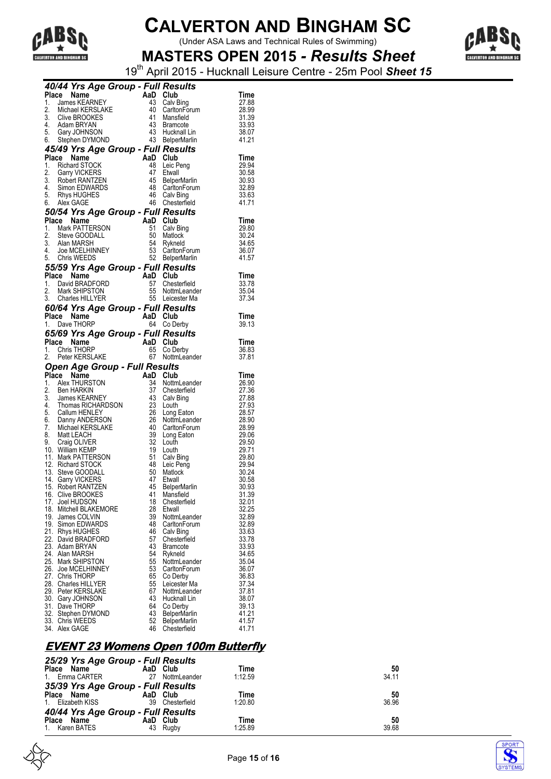

(Under ASA Laws and Technical Rules of Swimming)



**MASTERS OPEN 2015** *- Results Sheet* 19th April 2015 - Hucknall Leisure Centre - 25m Pool *Sheet 15*

|    |                | 40/44 Yrs Age Group - Full Results                                                                                                           |                                                  |                                    |                      |
|----|----------------|----------------------------------------------------------------------------------------------------------------------------------------------|--------------------------------------------------|------------------------------------|----------------------|
|    | Place Name     | an Ba                                                                                                                                        | AaD Club                                         |                                    | Time                 |
| 1. |                | James KEARNEY                                                                                                                                | 43                                               | Calv Bing                          | 27.88                |
| 2. |                | Michael KERSLAKE                                                                                                                             |                                                  | 40 CarltonForum                    | 28.99                |
|    |                |                                                                                                                                              |                                                  | 41 Mansfield                       | 31.39                |
|    |                | 3. Clive BROOKES<br>4. Adam BRYAN<br>5. Gary JOHNSON                                                                                         |                                                  | 43 Bramcote                        | 33.93<br>38.07       |
|    |                | 6. Stephen DYMOND                                                                                                                            |                                                  | 43 Hucknall Lin<br>43 BelperMarlin | 41.21                |
|    |                |                                                                                                                                              |                                                  |                                    |                      |
|    | Place Name     | 45/49 Yrs Age Group - Full Results                                                                                                           |                                                  |                                    | Time                 |
|    |                | 1. Richard STOCK                                                                                                                             |                                                  | Leic Peng                          | 29.94                |
|    |                |                                                                                                                                              |                                                  | 47 Etwall                          | 30.58                |
|    |                |                                                                                                                                              |                                                  | 45 BelperMarlin                    | 30.93                |
|    |                |                                                                                                                                              |                                                  | 48 CarltonForum<br>46 Calv Bing    | 32.89                |
|    |                | 2. Garry VICKERS<br>3. Robert RANTZEN<br>4. Simon EDWARDS<br>5. Rhys HUGHES<br>6. Alex GAGE                                                  |                                                  | 46 Chesterfield                    | 33.63                |
|    |                |                                                                                                                                              |                                                  |                                    | 41.71                |
|    |                | 50/54 Yrs Age Group - Full Results                                                                                                           | Sines<br><b>Full Res</b><br>AaD Club<br>51 Calus |                                    |                      |
|    | Place Name     | 1. Mark PATTERSON                                                                                                                            |                                                  | 51 Calv Bing                       | <b>Time</b><br>29.80 |
|    |                | 2. Steve GOODALL                                                                                                                             |                                                  | 50 Matlock                         | 30.24                |
|    | 3. Alan MARSH  |                                                                                                                                              |                                                  | 54 Rykneld                         | 34.65                |
|    |                | 3. Alan MARSH<br>4. Joe MCELHINNEY<br>5. Chris WEEDS                                                                                         |                                                  |                                    | 36.07                |
|    |                |                                                                                                                                              |                                                  | 53 CarltonForum<br>52 BelperMarlin | 41.57                |
|    |                | 55/59 Yrs Age Group - Full Results                                                                                                           |                                                  |                                    |                      |
|    | Place Name     |                                                                                                                                              |                                                  |                                    | <b>Time</b>          |
|    |                | 1. David BRADFORD                                                                                                                            |                                                  | 57 Chesterfield                    | 33.78                |
|    |                | 2. Mark SHIPSTON<br>3. Charles HILLYER                                                                                                       | AaD Club<br>57 Chest<br>55 Nottm<br>55 Leices    | 55 NottmLeander<br>55 Leicester Ma | 35.04<br>37.34       |
|    |                |                                                                                                                                              |                                                  |                                    |                      |
|    |                | 60/64 Yrs Age Group - Full Results                                                                                                           | AaD Club                                         |                                    |                      |
|    | Place Name     | 1. Dave THORP                                                                                                                                |                                                  | 64 Co Derby                        | Time<br>39.13        |
|    |                | 65/69 Yrs Age Group - Full Results                                                                                                           |                                                  |                                    |                      |
|    | Place Name     |                                                                                                                                              |                                                  |                                    | Time                 |
|    |                | AaD Club<br>65 Co De<br>E 67 Nottm<br>1. Chris THORP                                                                                         |                                                  | 65 Co Derby                        | 36.83                |
|    |                |                                                                                                                                              |                                                  |                                    |                      |
|    |                | 2. Peter KERSLAKE                                                                                                                            |                                                  | 67 NottmLeander                    | 37.81                |
|    |                |                                                                                                                                              |                                                  |                                    |                      |
|    | Place Name     | <b>Open Age Group - Full Results</b>                                                                                                         | AaD Club                                         |                                    | Time                 |
|    |                | 1. Alex THURSTON                                                                                                                             |                                                  | 34 NottmLeander                    | 26.90                |
|    | 2. Ben HARKIN  |                                                                                                                                              |                                                  | 37 Chesterfield                    | 27.36                |
|    |                |                                                                                                                                              |                                                  | 43 Calv Bing                       | 27.88                |
|    |                |                                                                                                                                              |                                                  | 23 Louth                           | 27.93                |
|    |                |                                                                                                                                              | 26                                               | Long Eaton                         | 28.57                |
|    |                |                                                                                                                                              |                                                  | 26 NottmLeander<br>40 CarltonForum | 28.90                |
|    |                |                                                                                                                                              | 39                                               | Long Eaton                         | 29.06                |
|    |                | 2. Beit FIARNIN<br>3. James KEARNEY<br>4. Thomas RICHARDSON<br>5. Callum HENLEY<br>6. Danny ANDERSON<br>7. Michael KERSLAKE<br>8. Matt LEACH | 32                                               | Louth                              | 29.50                |
|    |                | 9. Craig OLIVER<br>10. William KEMP                                                                                                          |                                                  | 19 Louth                           | 28.99<br>29.71       |
|    |                | 11. Mark PATTERSON                                                                                                                           | 51                                               | Calv Bing                          | 29.80                |
|    |                | 12. Richard STOCK                                                                                                                            |                                                  | 48 Leic Peng                       | 29.94                |
|    |                | 13. Steve GOODALL<br>14. Garry VICKERS                                                                                                       |                                                  | 50 Matlock<br>47 Etwall            | 30.24<br>30.58       |
|    |                | 15. Robert RANTZEN                                                                                                                           | 45                                               | BelperMarlin                       | 30.93                |
|    |                | 16. Clive BROOKES                                                                                                                            |                                                  | 41 Mansfield                       | 31.39                |
|    |                | 17. Joel HUDSON                                                                                                                              | 18                                               | Chesterfield                       | 32.01                |
|    |                | 18. Mitchell BLAKEMORE                                                                                                                       | 28                                               | Etwall                             | 32.25                |
|    |                | 19. James COLVIN                                                                                                                             | 39                                               | NottmLeander                       | 32.89                |
|    |                | 19. Simon EDWARDS<br>21. Rhys HUGHES                                                                                                         | 48<br>46                                         | CarltonForum<br>Calv Bing          | 32.89<br>33.63       |
|    |                | 22. David BRADFORD                                                                                                                           | 57                                               | Chesterfield                       | 33.78                |
|    |                | 23. Adam BRYAN                                                                                                                               | 43                                               | Bramcote                           | 33.93                |
|    | 24. Alan MARSH |                                                                                                                                              | 54                                               | Rykneld                            | 34.65                |
|    |                | 25. Mark SHIPSTON                                                                                                                            | 55                                               | NottmLeander                       | 35.04                |
|    |                | 26. Joe MCELHINNEY<br>27. Chris THORP                                                                                                        | 53<br>65                                         | CarltonForum<br>Co Derby           | 36.07<br>36.83       |
|    |                | 28. Charles HILLYER                                                                                                                          | 55                                               | Leicester Ma                       | 37.34                |
|    |                | 29. Peter KERSLAKE                                                                                                                           | 67                                               | NottmLeander                       | 37.81                |
|    |                | 30. Gary JOHNSON                                                                                                                             | 43                                               | Hucknall Lin                       | 38.07                |
|    |                | 31. Dave THORP                                                                                                                               | 64                                               | Co Derby                           | 39.13                |
|    |                | 32. Stephen DYMOND<br>33. Chris WEEDS                                                                                                        | 43<br>52                                         | BelperMarlin<br>BelperMarlin       | 41.21<br>41.57       |

### **EVENT 23 Womens Open 100m Butterfly**

| 25/29 Yrs Age Group - Full Results |    |              |         |       |  |  |
|------------------------------------|----|--------------|---------|-------|--|--|
| Place Name                         |    | AaD Club     | Time    | 50    |  |  |
| 1. Emma CARTER                     | 27 | NottmLeander | 1:12.59 | 34.11 |  |  |
| 35/39 Yrs Age Group - Full Results |    |              |         |       |  |  |
| Place Name                         |    | AaD Club     | Time    | 50    |  |  |
| 1. Elizabeth KISS                  | 39 | Chesterfield | 1:20.80 | 36.96 |  |  |
| 40/44 Yrs Age Group - Full Results |    |              |         |       |  |  |
| Place Name                         |    | AaD Club     | Time    | 50    |  |  |
| 1. Karen BATES                     |    | 43 Rugby     | 1:25.89 | 39.68 |  |  |